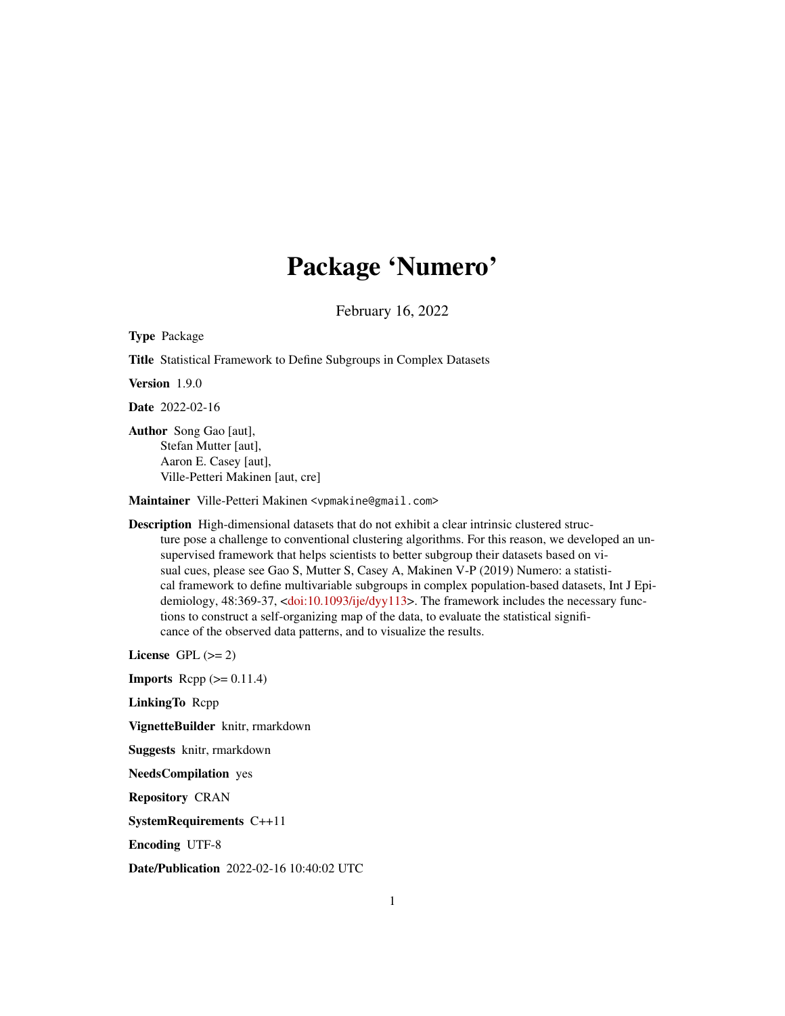# Package 'Numero'

February 16, 2022

Type Package

Title Statistical Framework to Define Subgroups in Complex Datasets

Version 1.9.0

Date 2022-02-16

Author Song Gao [aut], Stefan Mutter [aut], Aaron E. Casey [aut], Ville-Petteri Makinen [aut, cre]

Maintainer Ville-Petteri Makinen <vpmakine@gmail.com>

Description High-dimensional datasets that do not exhibit a clear intrinsic clustered structure pose a challenge to conventional clustering algorithms. For this reason, we developed an unsupervised framework that helps scientists to better subgroup their datasets based on visual cues, please see Gao S, Mutter S, Casey A, Makinen V-P (2019) Numero: a statistical framework to define multivariable subgroups in complex population-based datasets, Int J Epidemiology, 48:369-37, [<doi:10.1093/ije/dyy113>](https://doi.org/10.1093/ije/dyy113). The framework includes the necessary functions to construct a self-organizing map of the data, to evaluate the statistical significance of the observed data patterns, and to visualize the results.

License GPL  $(>= 2)$ 

**Imports** Rcpp  $(>= 0.11.4)$ 

LinkingTo Rcpp

VignetteBuilder knitr, rmarkdown

Suggests knitr, rmarkdown

NeedsCompilation yes

Repository CRAN

SystemRequirements C++11

Encoding UTF-8

Date/Publication 2022-02-16 10:40:02 UTC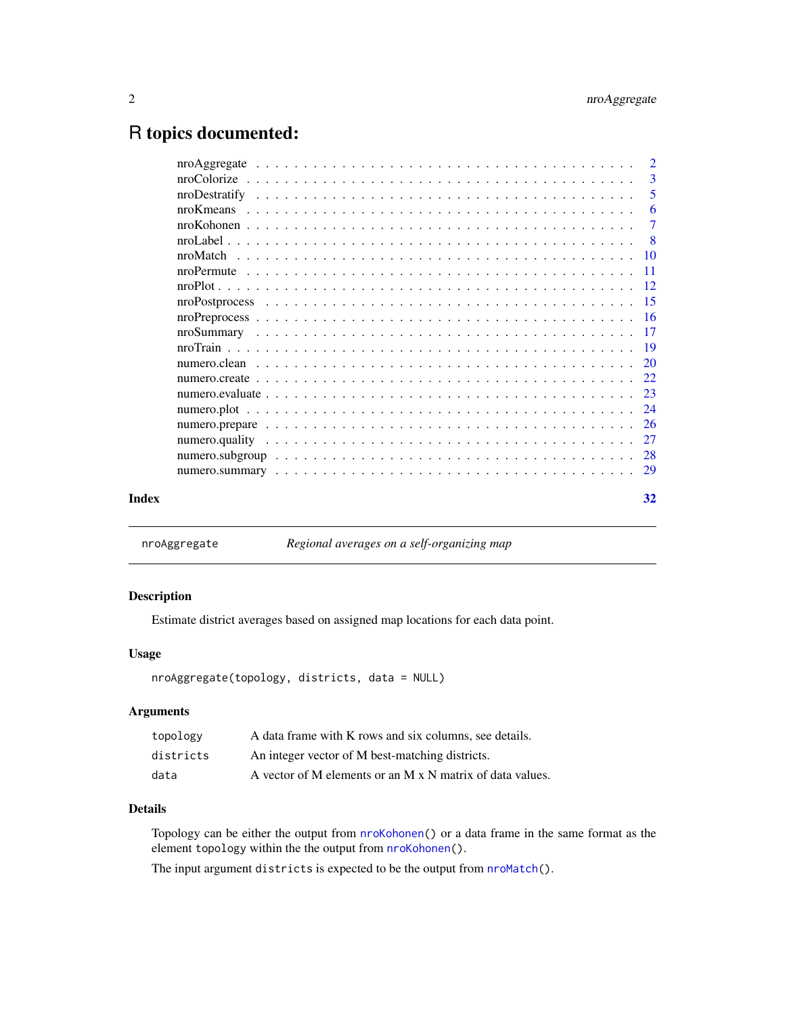# <span id="page-1-0"></span>R topics documented:

|  | 27             |
|--|----------------|
|  | 26             |
|  |                |
|  |                |
|  |                |
|  |                |
|  |                |
|  | <b>17</b>      |
|  | $-16$          |
|  |                |
|  |                |
|  | -11            |
|  |                |
|  | $\overline{8}$ |
|  | $\tau$         |
|  | 6              |
|  | 5              |
|  | 3              |
|  | $\overline{2}$ |

<span id="page-1-1"></span>nroAggregate *Regional averages on a self-organizing map*

# Description

Estimate district averages based on assigned map locations for each data point.

# Usage

```
nroAggregate(topology, districts, data = NULL)
```
# Arguments

| topology  | A data frame with K rows and six columns, see details.    |
|-----------|-----------------------------------------------------------|
| districts | An integer vector of M best-matching districts.           |
| data      | A vector of M elements or an M x N matrix of data values. |

# Details

Topology can be either the output from [nroKohonen\(](#page-6-1)) or a data frame in the same format as the element topology within the the output from [nroKohonen\(](#page-6-1)).

The input argument districts is expected to be the output from [nroMatch\(](#page-9-1)).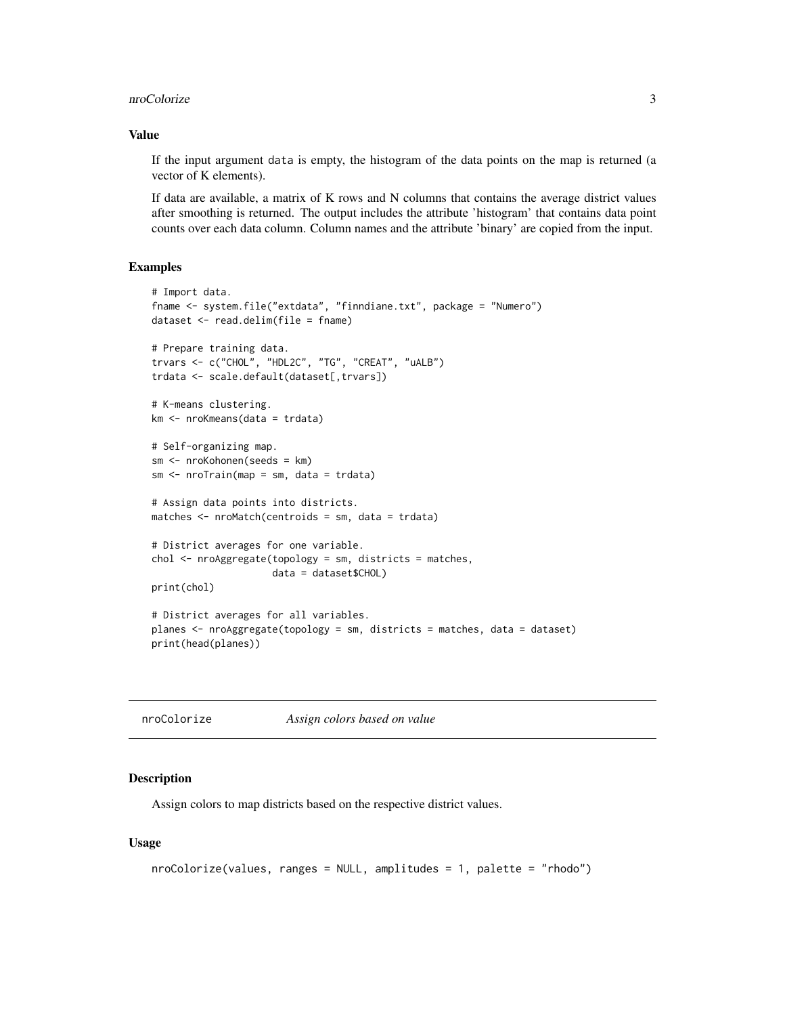#### <span id="page-2-0"></span>nroColorize 3

### Value

If the input argument data is empty, the histogram of the data points on the map is returned (a vector of K elements).

If data are available, a matrix of K rows and N columns that contains the average district values after smoothing is returned. The output includes the attribute 'histogram' that contains data point counts over each data column. Column names and the attribute 'binary' are copied from the input.

# Examples

```
# Import data.
fname <- system.file("extdata", "finndiane.txt", package = "Numero")
dataset <- read.delim(file = fname)
# Prepare training data.
trvars <- c("CHOL", "HDL2C", "TG", "CREAT", "uALB")
trdata <- scale.default(dataset[,trvars])
# K-means clustering.
km <- nroKmeans(data = trdata)
# Self-organizing map.
sm <- nroKohonen(seeds = km)
sm \leftarrow nroTrain(map = sm, data = trdata)# Assign data points into districts.
matches <- nroMatch(centroids = sm, data = trdata)
# District averages for one variable.
chol <- nroAggregate(topology = sm, districts = matches,
                     data = dataset$CHOL)
print(chol)
# District averages for all variables.
planes <- nroAggregate(topology = sm, districts = matches, data = dataset)
print(head(planes))
```
<span id="page-2-1"></span>

| nroColorize | Assign colors based on value |
|-------------|------------------------------|
|             |                              |

#### Description

Assign colors to map districts based on the respective district values.

#### Usage

```
nroColorize(values, ranges = NULL, amplitudes = 1, palette = "rhodo")
```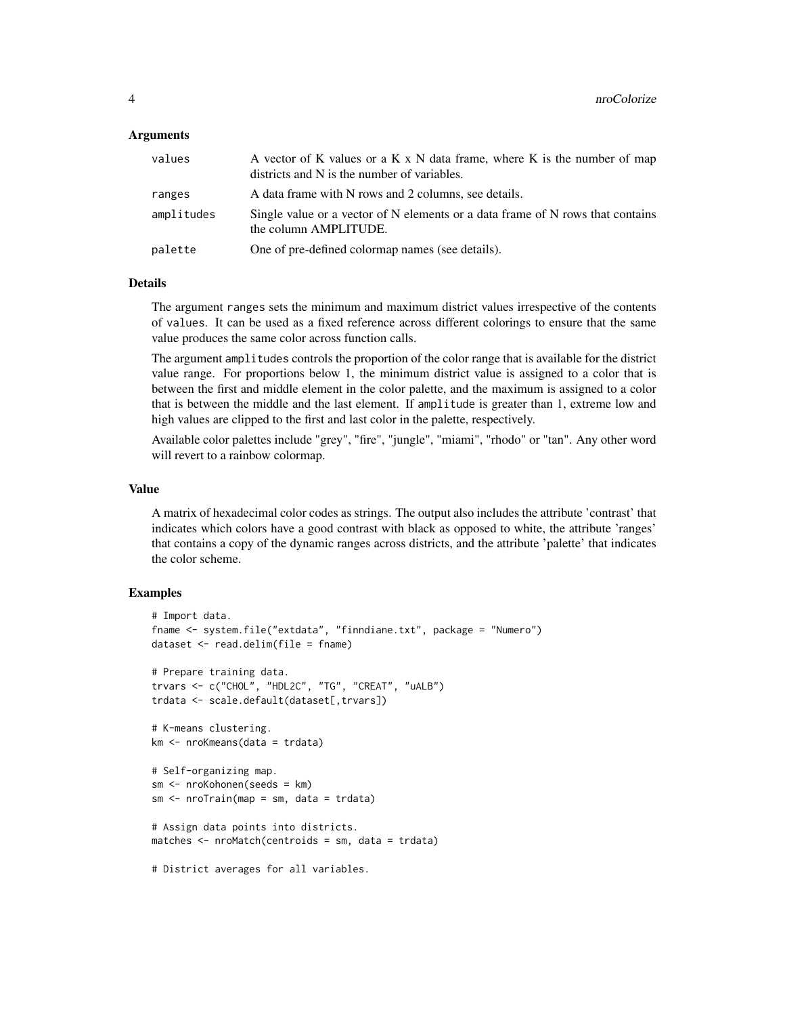#### Arguments

| values     | A vector of K values or a K x N data frame, where K is the number of map<br>districts and N is the number of variables. |
|------------|-------------------------------------------------------------------------------------------------------------------------|
| ranges     | A data frame with N rows and 2 columns, see details.                                                                    |
| amplitudes | Single value or a vector of N elements or a data frame of N rows that contains<br>the column AMPLITUDE.                 |
| palette    | One of pre-defined colormap names (see details).                                                                        |
|            |                                                                                                                         |

# Details

The argument ranges sets the minimum and maximum district values irrespective of the contents of values. It can be used as a fixed reference across different colorings to ensure that the same value produces the same color across function calls.

The argument amplitudes controls the proportion of the color range that is available for the district value range. For proportions below 1, the minimum district value is assigned to a color that is between the first and middle element in the color palette, and the maximum is assigned to a color that is between the middle and the last element. If amplitude is greater than 1, extreme low and high values are clipped to the first and last color in the palette, respectively.

Available color palettes include "grey", "fire", "jungle", "miami", "rhodo" or "tan". Any other word will revert to a rainbow colormap.

# Value

A matrix of hexadecimal color codes as strings. The output also includes the attribute 'contrast' that indicates which colors have a good contrast with black as opposed to white, the attribute 'ranges' that contains a copy of the dynamic ranges across districts, and the attribute 'palette' that indicates the color scheme.

```
# Import data.
fname <- system.file("extdata", "finndiane.txt", package = "Numero")
dataset <- read.delim(file = fname)
# Prepare training data.
trvars <- c("CHOL", "HDL2C", "TG", "CREAT", "uALB")
trdata <- scale.default(dataset[,trvars])
# K-means clustering.
km <- nroKmeans(data = trdata)
# Self-organizing map.
sm <- nroKohonen(seeds = km)
sm <- nroTrain(map = sm, data = trdata)
# Assign data points into districts.
matches <- nroMatch(centroids = sm, data = trdata)
# District averages for all variables.
```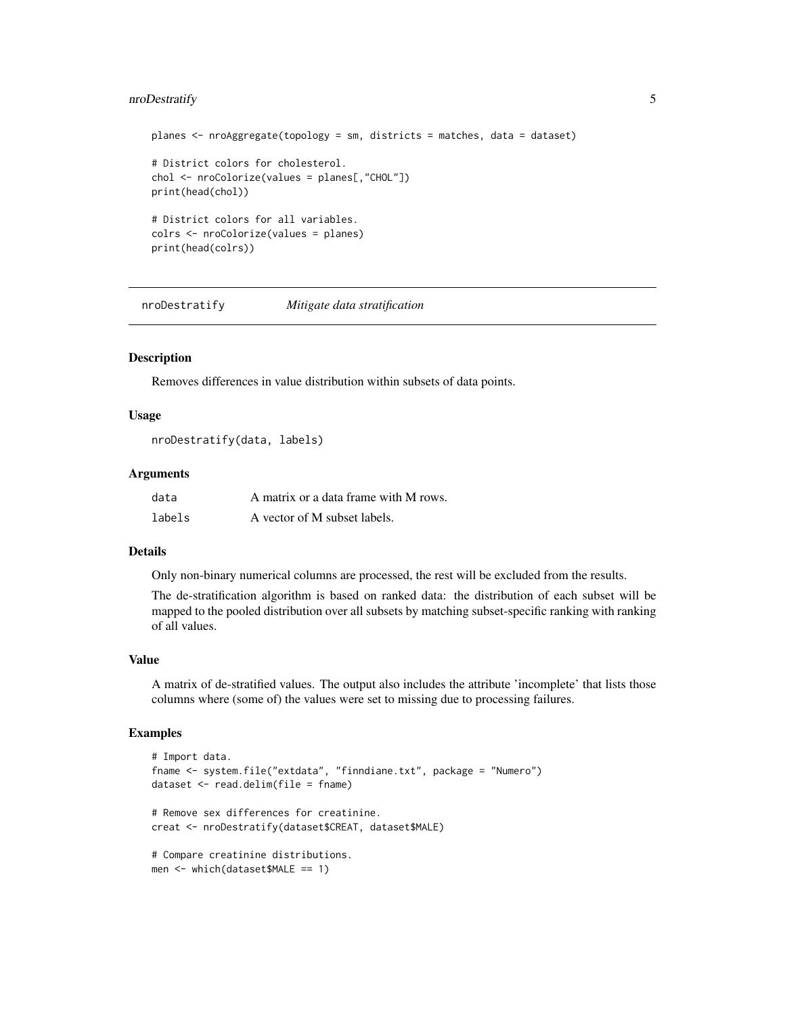# <span id="page-4-0"></span>nroDestratify 5

```
planes <- nroAggregate(topology = sm, districts = matches, data = dataset)
# District colors for cholesterol.
chol <- nroColorize(values = planes[,"CHOL"])
print(head(chol))
# District colors for all variables.
colrs <- nroColorize(values = planes)
print(head(colrs))
```
nroDestratify *Mitigate data stratification*

# Description

Removes differences in value distribution within subsets of data points.

#### Usage

```
nroDestratify(data, labels)
```
#### Arguments

| data   | A matrix or a data frame with M rows. |
|--------|---------------------------------------|
| labels | A vector of M subset labels.          |

# Details

Only non-binary numerical columns are processed, the rest will be excluded from the results.

The de-stratification algorithm is based on ranked data: the distribution of each subset will be mapped to the pooled distribution over all subsets by matching subset-specific ranking with ranking of all values.

#### Value

A matrix of de-stratified values. The output also includes the attribute 'incomplete' that lists those columns where (some of) the values were set to missing due to processing failures.

```
# Import data.
fname <- system.file("extdata", "finndiane.txt", package = "Numero")
dataset <- read.delim(file = fname)
# Remove sex differences for creatinine.
creat <- nroDestratify(dataset$CREAT, dataset$MALE)
# Compare creatinine distributions.
men <- which(dataset$MALE == 1)
```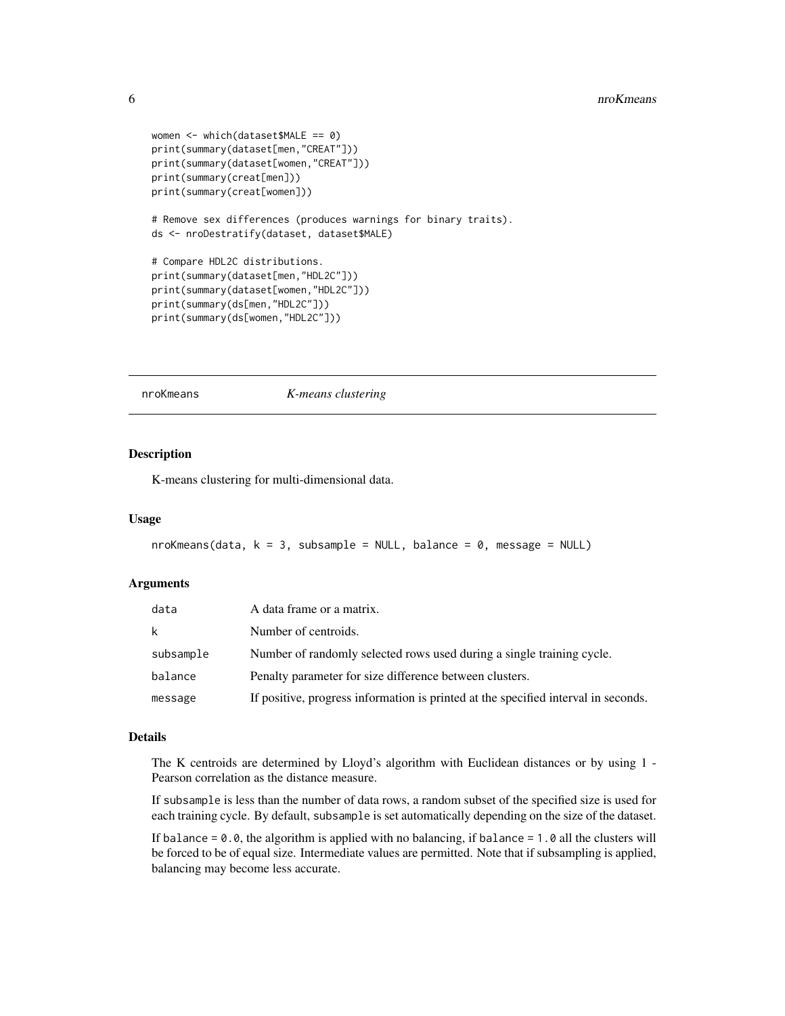```
women <- which(dataset$MALE == 0)
print(summary(dataset[men,"CREAT"]))
print(summary(dataset[women,"CREAT"]))
print(summary(creat[men]))
print(summary(creat[women]))
# Remove sex differences (produces warnings for binary traits).
ds <- nroDestratify(dataset, dataset$MALE)
# Compare HDL2C distributions.
print(summary(dataset[men,"HDL2C"]))
print(summary(dataset[women,"HDL2C"]))
print(summary(ds[men,"HDL2C"]))
print(summary(ds[women,"HDL2C"]))
```
<span id="page-5-1"></span>nroKmeans *K-means clustering*

# Description

K-means clustering for multi-dimensional data.

#### Usage

```
nroKmeans(data, k = 3, subsample = NULL, balance = 0, message = NULL)
```
#### Arguments

| data      | A data frame or a matrix.                                                          |
|-----------|------------------------------------------------------------------------------------|
| k         | Number of centroids.                                                               |
| subsample | Number of randomly selected rows used during a single training cycle.              |
| balance   | Penalty parameter for size difference between clusters.                            |
| message   | If positive, progress information is printed at the specified interval in seconds. |

#### Details

The K centroids are determined by Lloyd's algorithm with Euclidean distances or by using 1 - Pearson correlation as the distance measure.

If subsample is less than the number of data rows, a random subset of the specified size is used for each training cycle. By default, subsample is set automatically depending on the size of the dataset.

If balance  $= 0.0$ , the algorithm is applied with no balancing, if balance  $= 1.0$  all the clusters will be forced to be of equal size. Intermediate values are permitted. Note that if subsampling is applied, balancing may become less accurate.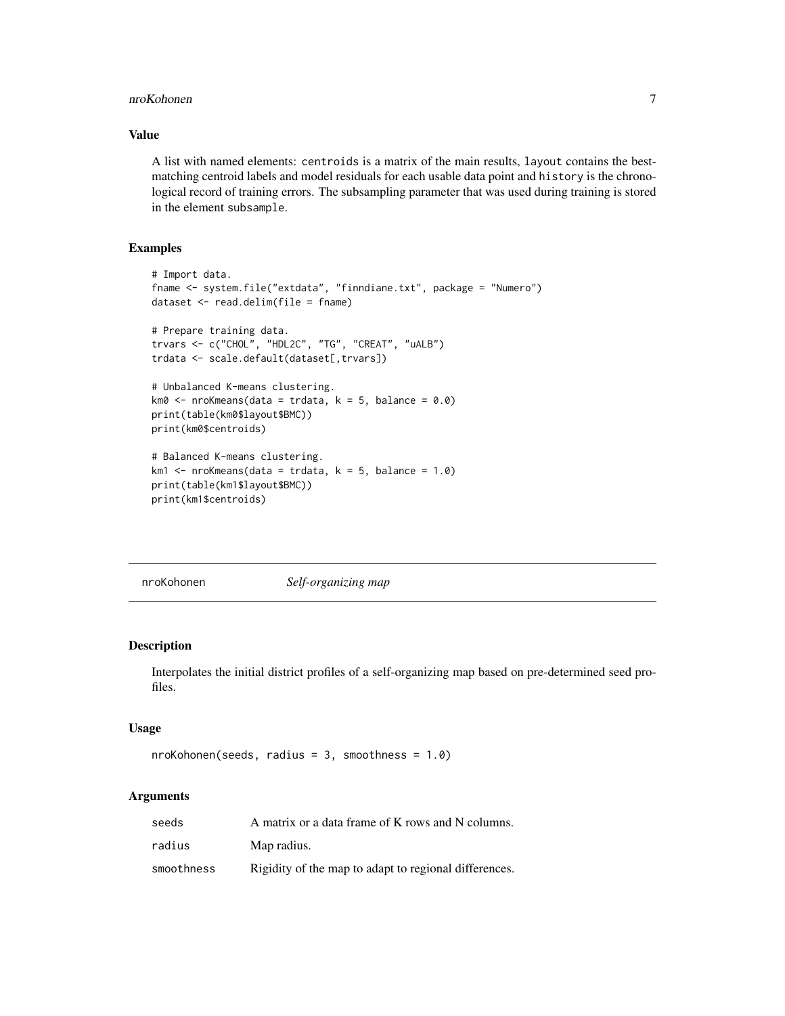#### <span id="page-6-0"></span>nroKohonen 7

# Value

A list with named elements: centroids is a matrix of the main results, layout contains the bestmatching centroid labels and model residuals for each usable data point and history is the chronological record of training errors. The subsampling parameter that was used during training is stored in the element subsample.

# Examples

```
# Import data.
fname <- system.file("extdata", "finndiane.txt", package = "Numero")
dataset <- read.delim(file = fname)
# Prepare training data.
trvars <- c("CHOL", "HDL2C", "TG", "CREAT", "uALB")
trdata <- scale.default(dataset[,trvars])
# Unbalanced K-means clustering.
km0 \le -\text{nroKmeans} (data = trdata, k = 5, balance = 0.0)
print(table(km0$layout$BMC))
print(km0$centroids)
# Balanced K-means clustering.
km1 <- nroKmeans(data = trdata, k = 5, balance = 1.0)
print(table(km1$layout$BMC))
print(km1$centroids)
```
<span id="page-6-1"></span>nroKohonen *Self-organizing map*

#### Description

Interpolates the initial district profiles of a self-organizing map based on pre-determined seed profiles.

#### Usage

```
nroKohonen(seeds, radius = 3, smoothness = 1.0)
```
# Arguments

| seeds      | A matrix or a data frame of K rows and N columns.     |
|------------|-------------------------------------------------------|
| radius     | Map radius.                                           |
| smoothness | Rigidity of the map to adapt to regional differences. |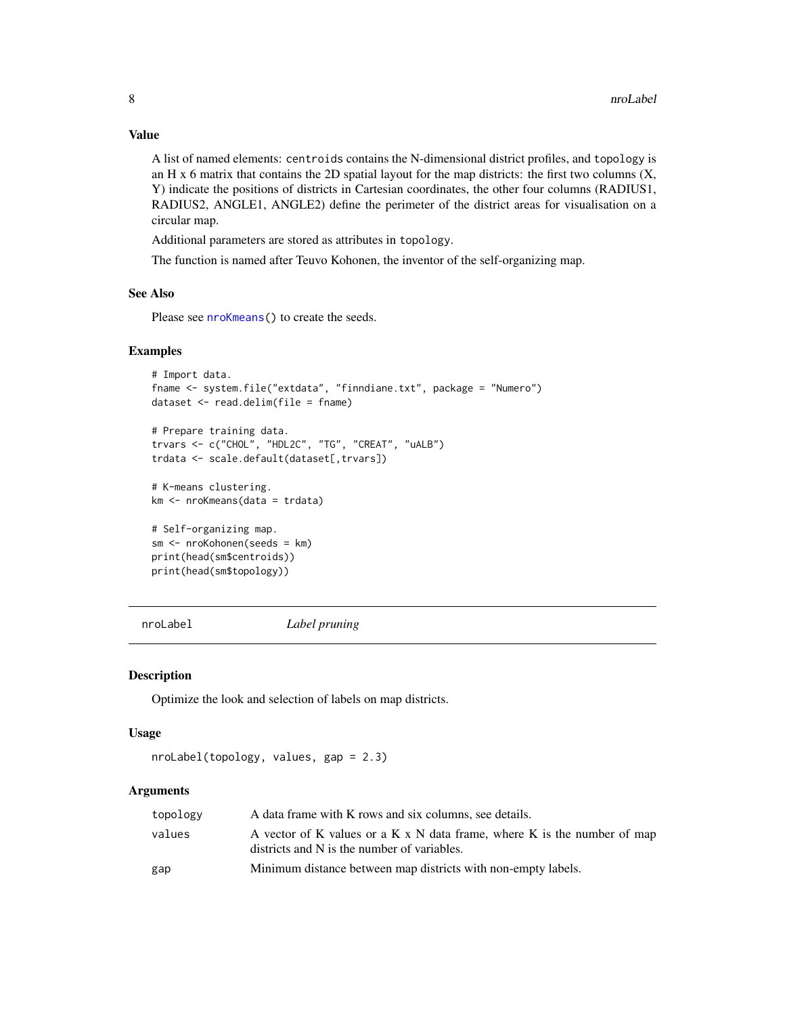# Value

A list of named elements: centroids contains the N-dimensional district profiles, and topology is an H  $x$  6 matrix that contains the 2D spatial layout for the map districts: the first two columns  $(X,$ Y) indicate the positions of districts in Cartesian coordinates, the other four columns (RADIUS1, RADIUS2, ANGLE1, ANGLE2) define the perimeter of the district areas for visualisation on a circular map.

Additional parameters are stored as attributes in topology.

The function is named after Teuvo Kohonen, the inventor of the self-organizing map.

#### See Also

Please see [nroKmeans\(](#page-5-1)) to create the seeds.

#### Examples

```
# Import data.
fname <- system.file("extdata", "finndiane.txt", package = "Numero")
dataset <- read.delim(file = fname)
```

```
# Prepare training data.
trvars <- c("CHOL", "HDL2C", "TG", "CREAT", "uALB")
trdata <- scale.default(dataset[,trvars])
```
# K-means clustering. km <- nroKmeans(data = trdata)

```
# Self-organizing map.
sm <- nroKohonen(seeds = km)
print(head(sm$centroids))
print(head(sm$topology))
```
nroLabel *Label pruning*

#### Description

Optimize the look and selection of labels on map districts.

#### Usage

```
nroLabel(topology, values, gap = 2.3)
```
# Arguments

| topology | A data frame with K rows and six columns, see details.                                                                  |
|----------|-------------------------------------------------------------------------------------------------------------------------|
| values   | A vector of K values or a K x N data frame, where K is the number of map<br>districts and N is the number of variables. |
| gap      | Minimum distance between map districts with non-empty labels.                                                           |

<span id="page-7-0"></span>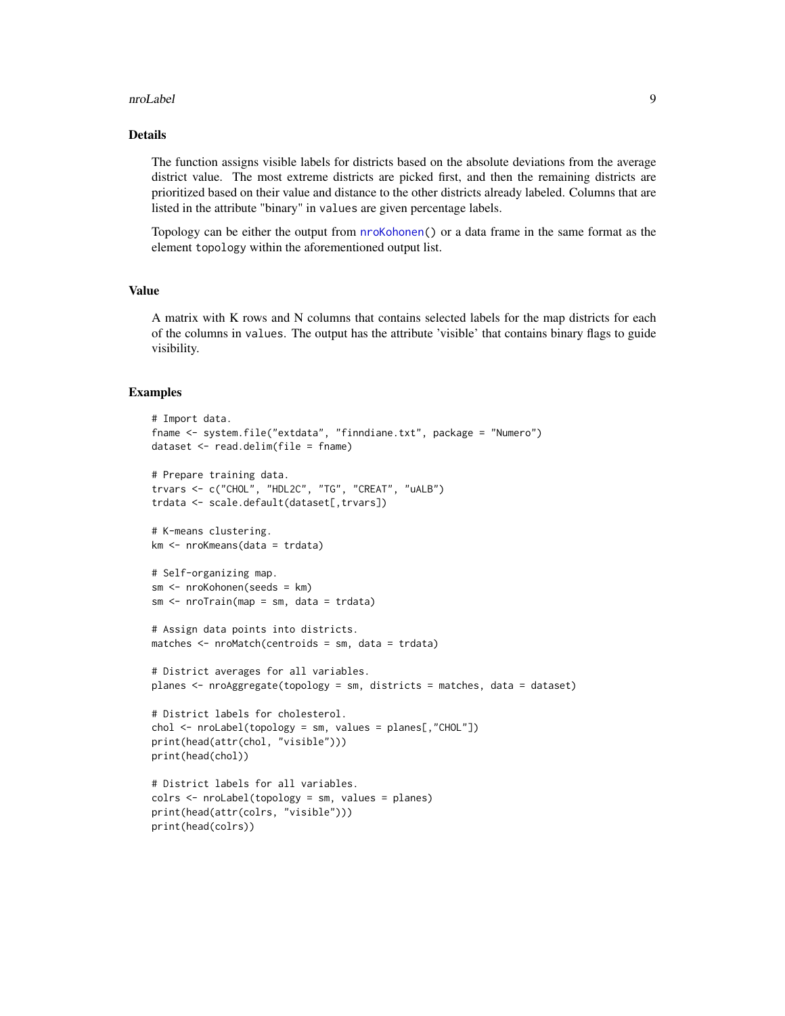#### <span id="page-8-0"></span>nroLabel 9

# Details

The function assigns visible labels for districts based on the absolute deviations from the average district value. The most extreme districts are picked first, and then the remaining districts are prioritized based on their value and distance to the other districts already labeled. Columns that are listed in the attribute "binary" in values are given percentage labels.

Topology can be either the output from [nroKohonen\(](#page-6-1)) or a data frame in the same format as the element topology within the aforementioned output list.

## Value

A matrix with K rows and N columns that contains selected labels for the map districts for each of the columns in values. The output has the attribute 'visible' that contains binary flags to guide visibility.

```
# Import data.
fname <- system.file("extdata", "finndiane.txt", package = "Numero")
dataset <- read.delim(file = fname)
# Prepare training data.
trvars <- c("CHOL", "HDL2C", "TG", "CREAT", "uALB")
trdata <- scale.default(dataset[,trvars])
# K-means clustering.
km <- nroKmeans(data = trdata)
# Self-organizing map.
sm <- nroKohonen(seeds = km)
sm \leftarrow nroTrain(map = sm, data = trdata)# Assign data points into districts.
matches <- nroMatch(centroids = sm, data = trdata)
# District averages for all variables.
planes <- nroAggregate(topology = sm, districts = matches, data = dataset)
# District labels for cholesterol.
chol <- nroLabel(topology = sm, values = planes[,"CHOL"])
print(head(attr(chol, "visible")))
print(head(chol))
# District labels for all variables.
colrs <- nroLabel(topology = sm, values = planes)
print(head(attr(colrs, "visible")))
print(head(colrs))
```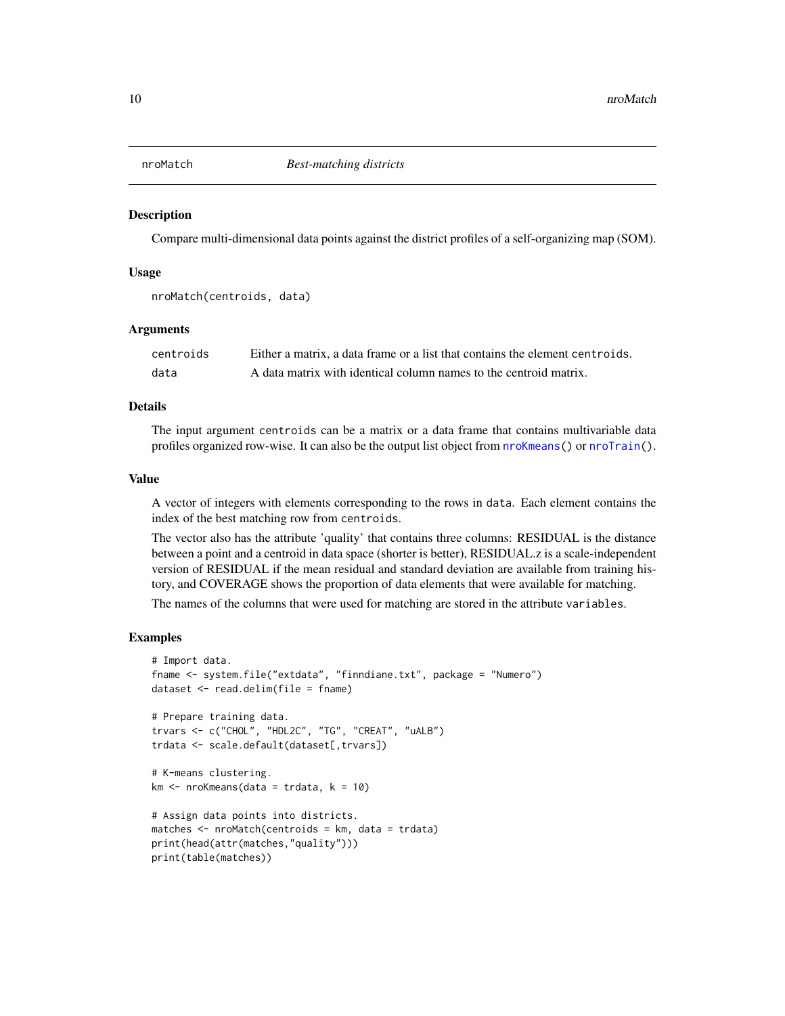<span id="page-9-1"></span><span id="page-9-0"></span>

#### Description

Compare multi-dimensional data points against the district profiles of a self-organizing map (SOM).

#### Usage

```
nroMatch(centroids, data)
```
#### Arguments

| centroids | Either a matrix, a data frame or a list that contains the element centroids. |
|-----------|------------------------------------------------------------------------------|
| data      | A data matrix with identical column names to the centroid matrix.            |

#### Details

The input argument centroids can be a matrix or a data frame that contains multivariable data profiles organized row-wise. It can also be the output list object from [nroKmeans\(](#page-5-1)) or [nroTrain\(](#page-18-1)).

#### Value

A vector of integers with elements corresponding to the rows in data. Each element contains the index of the best matching row from centroids.

The vector also has the attribute 'quality' that contains three columns: RESIDUAL is the distance between a point and a centroid in data space (shorter is better), RESIDUAL.z is a scale-independent version of RESIDUAL if the mean residual and standard deviation are available from training history, and COVERAGE shows the proportion of data elements that were available for matching.

The names of the columns that were used for matching are stored in the attribute variables.

```
# Import data.
fname <- system.file("extdata", "finndiane.txt", package = "Numero")
dataset <- read.delim(file = fname)
# Prepare training data.
trvars <- c("CHOL", "HDL2C", "TG", "CREAT", "uALB")
trdata <- scale.default(dataset[,trvars])
# K-means clustering.
km < - nroKmeans(data = trdata, k = 10)
# Assign data points into districts.
matches \leq nroMatch(centroids = km, data = trdata)
print(head(attr(matches,"quality")))
print(table(matches))
```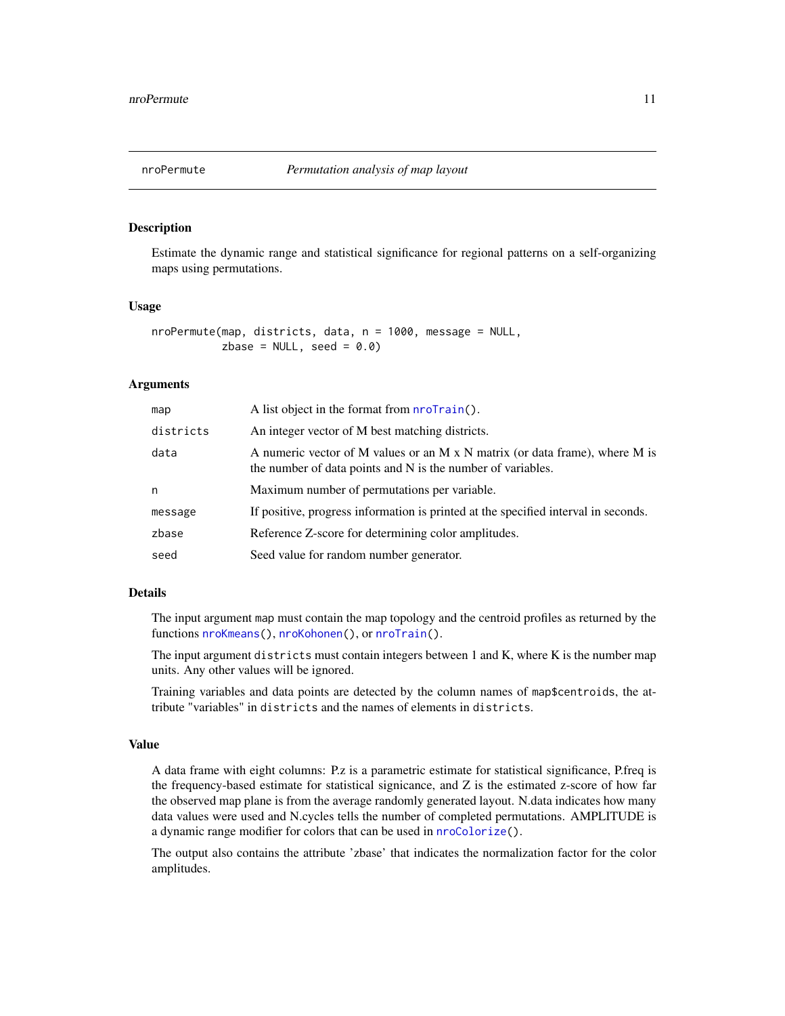<span id="page-10-1"></span><span id="page-10-0"></span>

# Description

Estimate the dynamic range and statistical significance for regional patterns on a self-organizing maps using permutations.

#### Usage

```
nroPermute(map, districts, data, n = 1000, message = NULL,
           zbase = NULL, seed = 0.0)
```
#### Arguments

| map       | A list object in the format from nroTrain().                                                                                               |
|-----------|--------------------------------------------------------------------------------------------------------------------------------------------|
| districts | An integer vector of M best matching districts.                                                                                            |
| data      | A numeric vector of M values or an M x N matrix (or data frame), where M is<br>the number of data points and N is the number of variables. |
| n         | Maximum number of permutations per variable.                                                                                               |
| message   | If positive, progress information is printed at the specified interval in seconds.                                                         |
| zbase     | Reference Z-score for determining color amplitudes.                                                                                        |
| seed      | Seed value for random number generator.                                                                                                    |

# Details

The input argument map must contain the map topology and the centroid profiles as returned by the functions [nroKmeans\(](#page-5-1)), [nroKohonen\(](#page-6-1)), or [nroTrain\(](#page-18-1)).

The input argument districts must contain integers between 1 and K, where K is the number map units. Any other values will be ignored.

Training variables and data points are detected by the column names of map\$centroids, the attribute "variables" in districts and the names of elements in districts.

#### Value

A data frame with eight columns: P.z is a parametric estimate for statistical significance, P.freq is the frequency-based estimate for statistical signicance, and  $Z$  is the estimated z-score of how far the observed map plane is from the average randomly generated layout. N.data indicates how many data values were used and N.cycles tells the number of completed permutations. AMPLITUDE is a dynamic range modifier for colors that can be used in [nroColorize\(](#page-2-1)).

The output also contains the attribute 'zbase' that indicates the normalization factor for the color amplitudes.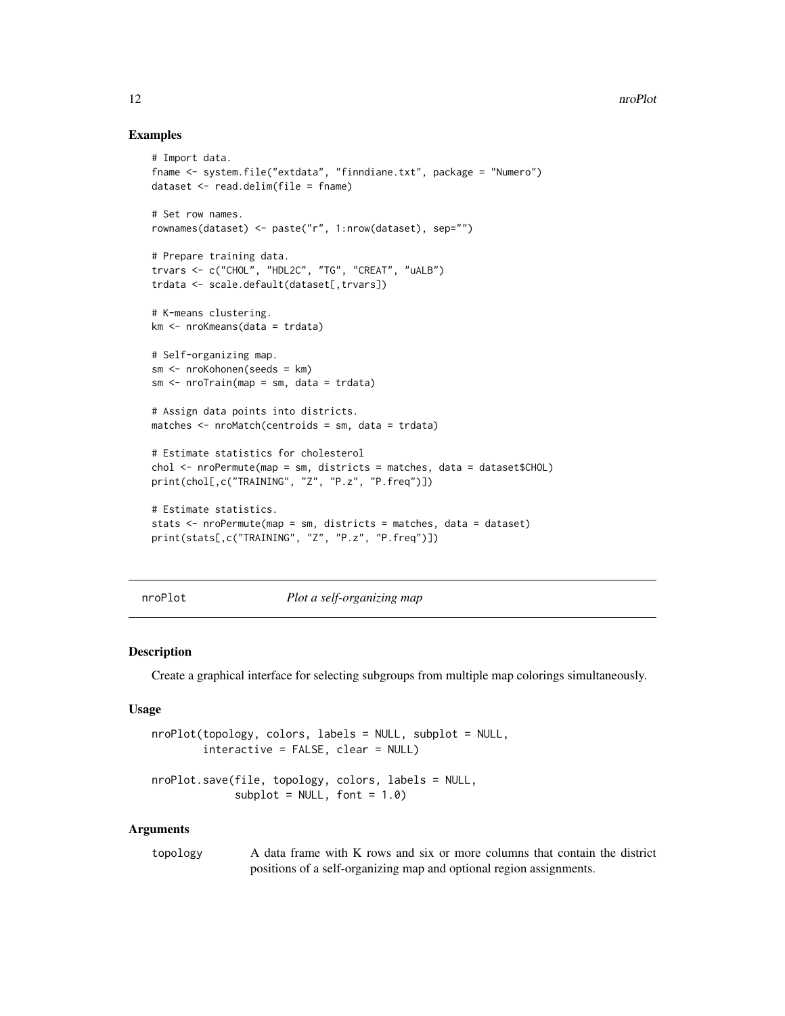### Examples

```
# Import data.
fname <- system.file("extdata", "finndiane.txt", package = "Numero")
dataset <- read.delim(file = fname)
# Set row names.
rownames(dataset) <- paste("r", 1:nrow(dataset), sep="")
# Prepare training data.
trvars <- c("CHOL", "HDL2C", "TG", "CREAT", "uALB")
trdata <- scale.default(dataset[,trvars])
# K-means clustering.
km <- nroKmeans(data = trdata)
# Self-organizing map.
sm <- nroKohonen(seeds = km)
sm \leftarrow nroTrain(map = sm, data = trdata)# Assign data points into districts.
matches <- nroMatch(centroids = sm, data = trdata)
# Estimate statistics for cholesterol
chol <- nroPermute(map = sm, districts = matches, data = dataset$CHOL)
print(chol[,c("TRAINING", "Z", "P.z", "P.freq")])
# Estimate statistics.
stats <- nroPermute(map = sm, districts = matches, data = dataset)
print(stats[,c("TRAINING", "Z", "P.z", "P.freq")])
```
nroPlot *Plot a self-organizing map*

#### <span id="page-11-2"></span>Description

Create a graphical interface for selecting subgroups from multiple map colorings simultaneously.

#### Usage

```
nroPlot(topology, colors, labels = NULL, subplot = NULL,
        interactive = FALSE, clear = NULL)
nroPlot.save(file, topology, colors, labels = NULL,
             subplot = NULL, font = 1.0)
```
#### Arguments

topology A data frame with K rows and six or more columns that contain the district positions of a self-organizing map and optional region assignments.

<span id="page-11-0"></span>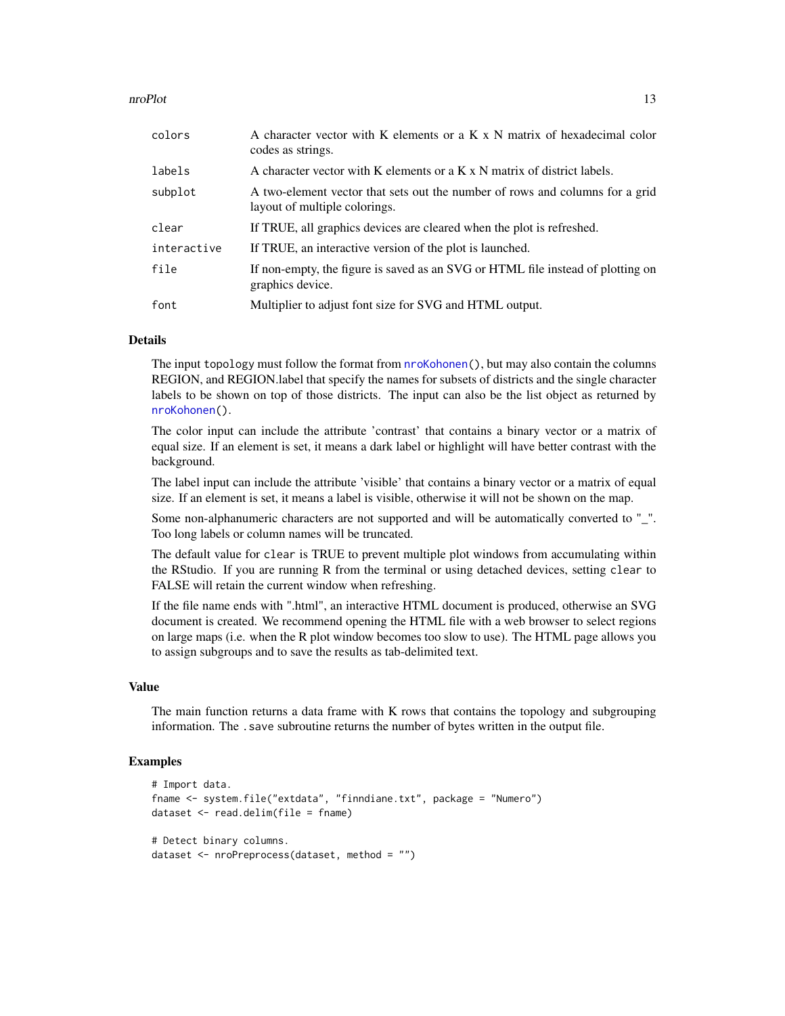#### <span id="page-12-0"></span>nroPlot 13

| colors      | A character vector with K elements or a K x N matrix of hexadecimal color<br>codes as strings.                |
|-------------|---------------------------------------------------------------------------------------------------------------|
| labels      | A character vector with K elements or a K x N matrix of district labels.                                      |
| subplot     | A two-element vector that sets out the number of rows and columns for a grid<br>layout of multiple colorings. |
| clear       | If TRUE, all graphics devices are cleared when the plot is refreshed.                                         |
| interactive | If TRUE, an interactive version of the plot is launched.                                                      |
| file        | If non-empty, the figure is saved as an SVG or HTML file instead of plotting on<br>graphics device.           |
| font        | Multiplier to adjust font size for SVG and HTML output.                                                       |

# Details

The input topology must follow the format from [nroKohonen\(](#page-6-1)), but may also contain the columns REGION, and REGION.label that specify the names for subsets of districts and the single character labels to be shown on top of those districts. The input can also be the list object as returned by [nroKohonen\(](#page-6-1)).

The color input can include the attribute 'contrast' that contains a binary vector or a matrix of equal size. If an element is set, it means a dark label or highlight will have better contrast with the background.

The label input can include the attribute 'visible' that contains a binary vector or a matrix of equal size. If an element is set, it means a label is visible, otherwise it will not be shown on the map.

Some non-alphanumeric characters are not supported and will be automatically converted to "\_". Too long labels or column names will be truncated.

The default value for clear is TRUE to prevent multiple plot windows from accumulating within the RStudio. If you are running R from the terminal or using detached devices, setting clear to FALSE will retain the current window when refreshing.

If the file name ends with ".html", an interactive HTML document is produced, otherwise an SVG document is created. We recommend opening the HTML file with a web browser to select regions on large maps (i.e. when the R plot window becomes too slow to use). The HTML page allows you to assign subgroups and to save the results as tab-delimited text.

#### Value

The main function returns a data frame with K rows that contains the topology and subgrouping information. The .save subroutine returns the number of bytes written in the output file.

```
# Import data.
fname <- system.file("extdata", "finndiane.txt", package = "Numero")
dataset <- read.delim(file = fname)
# Detect binary columns.
dataset <- nroPreprocess(dataset, method = "")
```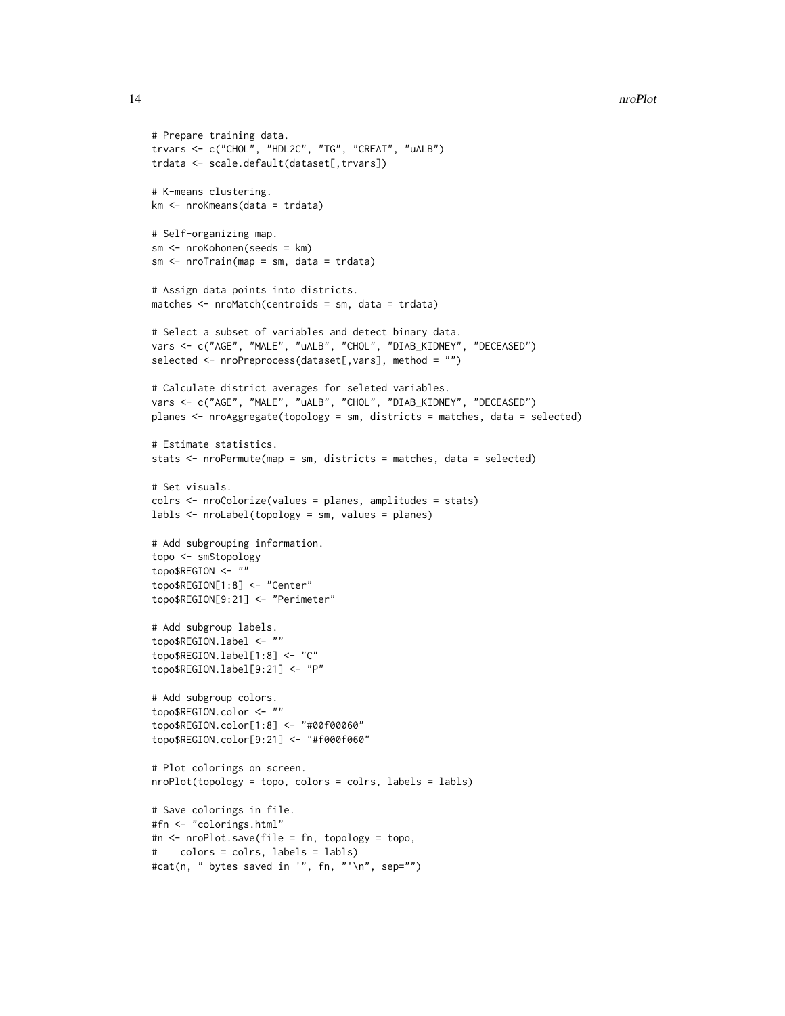#### 14 nroPlot

```
# Prepare training data.
trvars <- c("CHOL", "HDL2C", "TG", "CREAT", "uALB")
trdata <- scale.default(dataset[,trvars])
# K-means clustering.
km <- nroKmeans(data = trdata)
# Self-organizing map.
sm <- nroKohonen(seeds = km)
sm <- nroTrain(map = sm, data = trdata)
# Assign data points into districts.
matches <- nroMatch(centroids = sm, data = trdata)
# Select a subset of variables and detect binary data.
vars <- c("AGE", "MALE", "uALB", "CHOL", "DIAB_KIDNEY", "DECEASED")
selected <- nroPreprocess(dataset[,vars], method = "")
# Calculate district averages for seleted variables.
vars <- c("AGE", "MALE", "uALB", "CHOL", "DIAB_KIDNEY", "DECEASED")
planes <- nroAggregate(topology = sm, districts = matches, data = selected)
# Estimate statistics.
stats <- nroPermute(map = sm, districts = matches, data = selected)
# Set visuals.
colrs <- nroColorize(values = planes, amplitudes = stats)
labls <- nroLabel(topology = sm, values = planes)
# Add subgrouping information.
topo <- sm$topology
topo$REGION <- ""
topo$REGION[1:8] <- "Center"
topo$REGION[9:21] <- "Perimeter"
# Add subgroup labels.
topo$REGION.label <- ""
topo$REGION.label[1:8] <- "C"
topo$REGION.label[9:21] <- "P"
# Add subgroup colors.
topo$REGION.color <- ""
topo$REGION.color[1:8] <- "#00f00060"
topo$REGION.color[9:21] <- "#f000f060"
# Plot colorings on screen.
nroPlot(topology = topo, colors = colrs, labels = labls)
# Save colorings in file.
#fn <- "colorings.html"
#n <- nroPlot.save(file = fn, topology = topo,
# colors = colrs, labels = labls)
#cat(n, " bytes saved in '", fn, "'\n", sep="")
```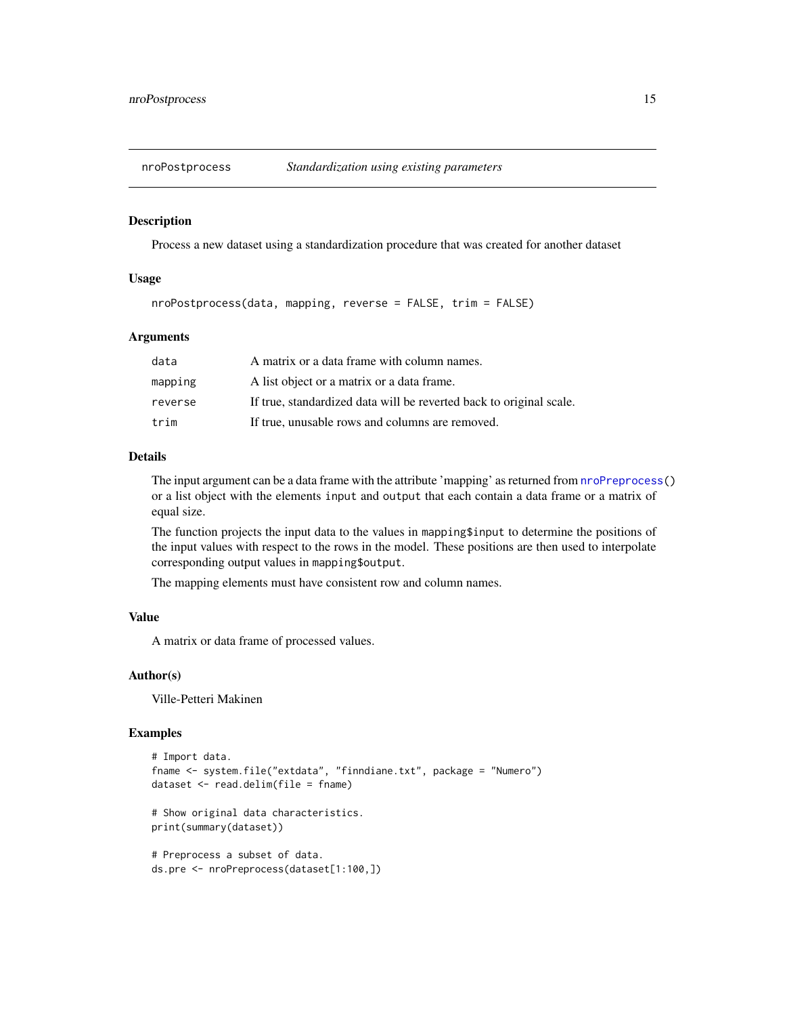<span id="page-14-0"></span>

#### Description

Process a new dataset using a standardization procedure that was created for another dataset

#### Usage

```
nroPostprocess(data, mapping, reverse = FALSE, trim = FALSE)
```
# Arguments

| data    | A matrix or a data frame with column names.                         |
|---------|---------------------------------------------------------------------|
| mapping | A list object or a matrix or a data frame.                          |
| reverse | If true, standardized data will be reverted back to original scale. |
| trim    | If true, unusable rows and columns are removed.                     |

#### Details

The input argument can be a data frame with the attribute 'mapping' as returned from [nroPreprocess\(](#page-15-1)) or a list object with the elements input and output that each contain a data frame or a matrix of equal size.

The function projects the input data to the values in mapping\$input to determine the positions of the input values with respect to the rows in the model. These positions are then used to interpolate corresponding output values in mapping\$output.

The mapping elements must have consistent row and column names.

#### Value

A matrix or data frame of processed values.

#### Author(s)

Ville-Petteri Makinen

```
# Import data.
fname <- system.file("extdata", "finndiane.txt", package = "Numero")
dataset <- read.delim(file = fname)
# Show original data characteristics.
print(summary(dataset))
# Preprocess a subset of data.
ds.pre <- nroPreprocess(dataset[1:100,])
```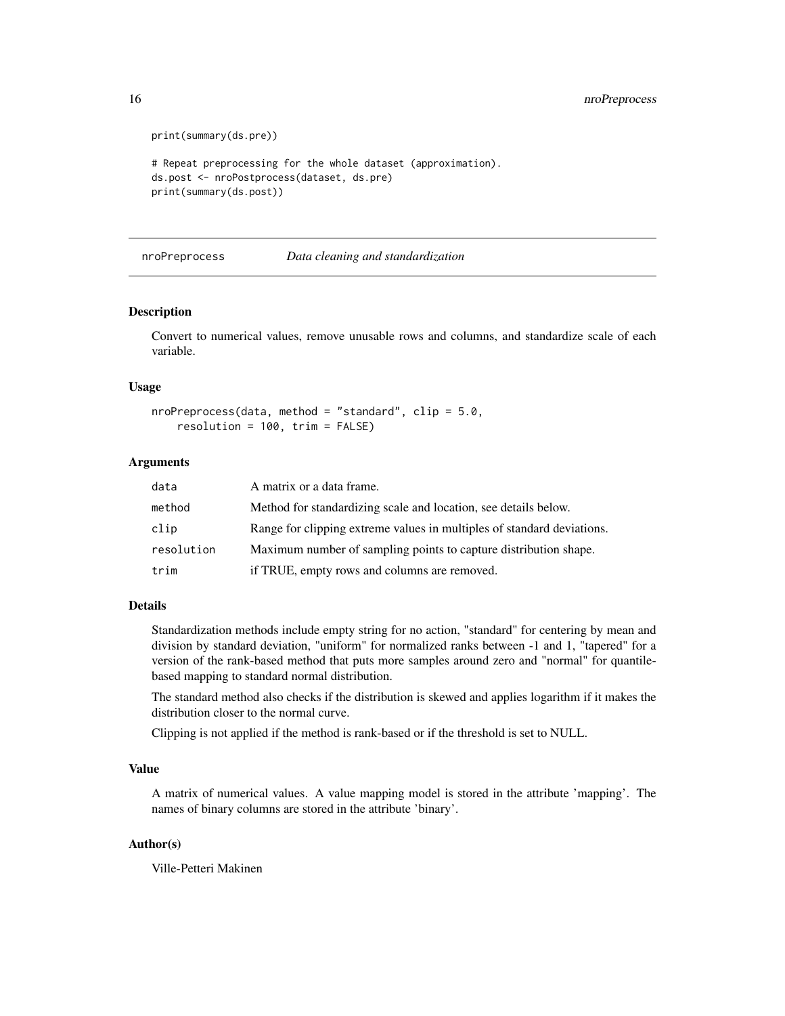```
print(summary(ds.pre))
# Repeat preprocessing for the whole dataset (approximation).
ds.post <- nroPostprocess(dataset, ds.pre)
print(summary(ds.post))
```
<span id="page-15-1"></span>nroPreprocess *Data cleaning and standardization*

# **Description**

Convert to numerical values, remove unusable rows and columns, and standardize scale of each variable.

#### Usage

```
nroPreprocess(data, method = "standard", clip = 5.0,resolution = 100, trim = FALSE)
```
# Arguments

| data       | A matrix or a data frame.                                              |
|------------|------------------------------------------------------------------------|
| method     | Method for standardizing scale and location, see details below.        |
| clip       | Range for clipping extreme values in multiples of standard deviations. |
| resolution | Maximum number of sampling points to capture distribution shape.       |
| trim       | if TRUE, empty rows and columns are removed.                           |

#### Details

Standardization methods include empty string for no action, "standard" for centering by mean and division by standard deviation, "uniform" for normalized ranks between -1 and 1, "tapered" for a version of the rank-based method that puts more samples around zero and "normal" for quantilebased mapping to standard normal distribution.

The standard method also checks if the distribution is skewed and applies logarithm if it makes the distribution closer to the normal curve.

Clipping is not applied if the method is rank-based or if the threshold is set to NULL.

# Value

A matrix of numerical values. A value mapping model is stored in the attribute 'mapping'. The names of binary columns are stored in the attribute 'binary'.

# Author(s)

Ville-Petteri Makinen

<span id="page-15-0"></span>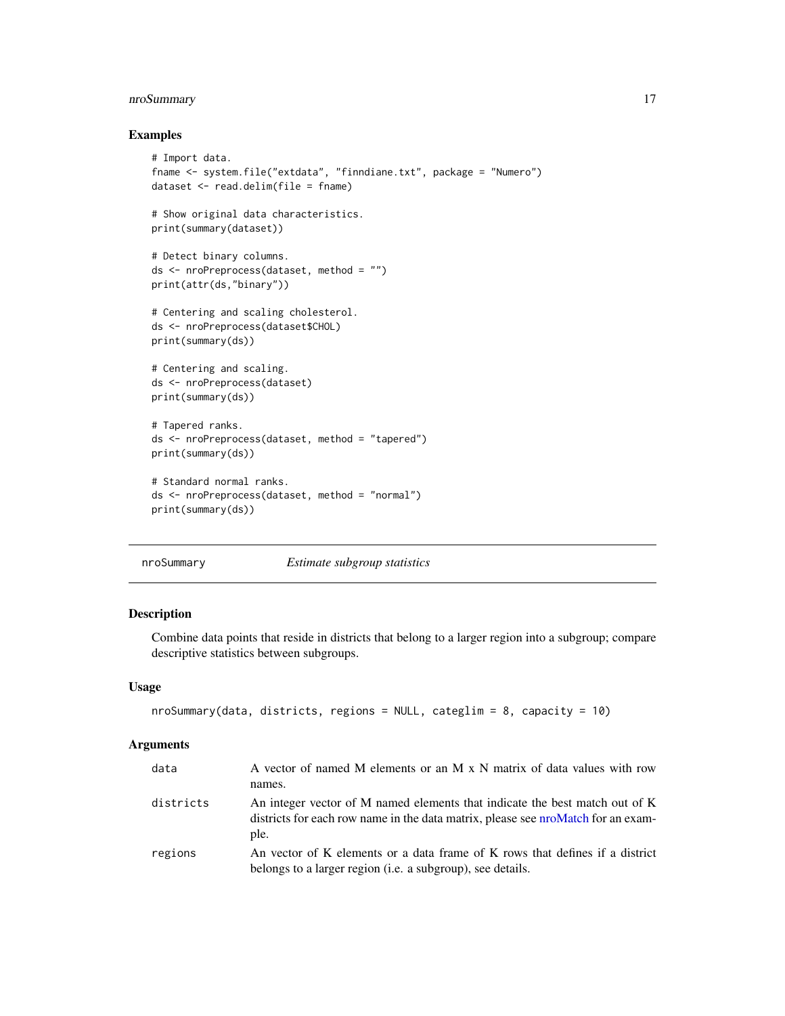# <span id="page-16-0"></span>nroSummary 17

# Examples

```
# Import data.
fname <- system.file("extdata", "finndiane.txt", package = "Numero")
dataset <- read.delim(file = fname)
# Show original data characteristics.
print(summary(dataset))
# Detect binary columns.
ds <- nroPreprocess(dataset, method = "")
print(attr(ds,"binary"))
# Centering and scaling cholesterol.
ds <- nroPreprocess(dataset$CHOL)
print(summary(ds))
# Centering and scaling.
ds <- nroPreprocess(dataset)
print(summary(ds))
# Tapered ranks.
ds <- nroPreprocess(dataset, method = "tapered")
print(summary(ds))
# Standard normal ranks.
ds <- nroPreprocess(dataset, method = "normal")
print(summary(ds))
```
# <span id="page-16-1"></span>nroSummary *Estimate subgroup statistics*

# Description

Combine data points that reside in districts that belong to a larger region into a subgroup; compare descriptive statistics between subgroups.

#### Usage

```
nroSummary(data, districts, regions = NULL, categlim = 8, capacity = 10)
```
#### Arguments

| data      | A vector of named M elements or an M x N matrix of data values with row<br>names.                                                          |
|-----------|--------------------------------------------------------------------------------------------------------------------------------------------|
| districts | An integer vector of M named elements that indicate the best match out of K                                                                |
|           | districts for each row name in the data matrix, please see proMatch for an exam-<br>ple.                                                   |
| regions   | An vector of K elements or a data frame of K rows that defines if a district<br>belongs to a larger region (i.e. a subgroup), see details. |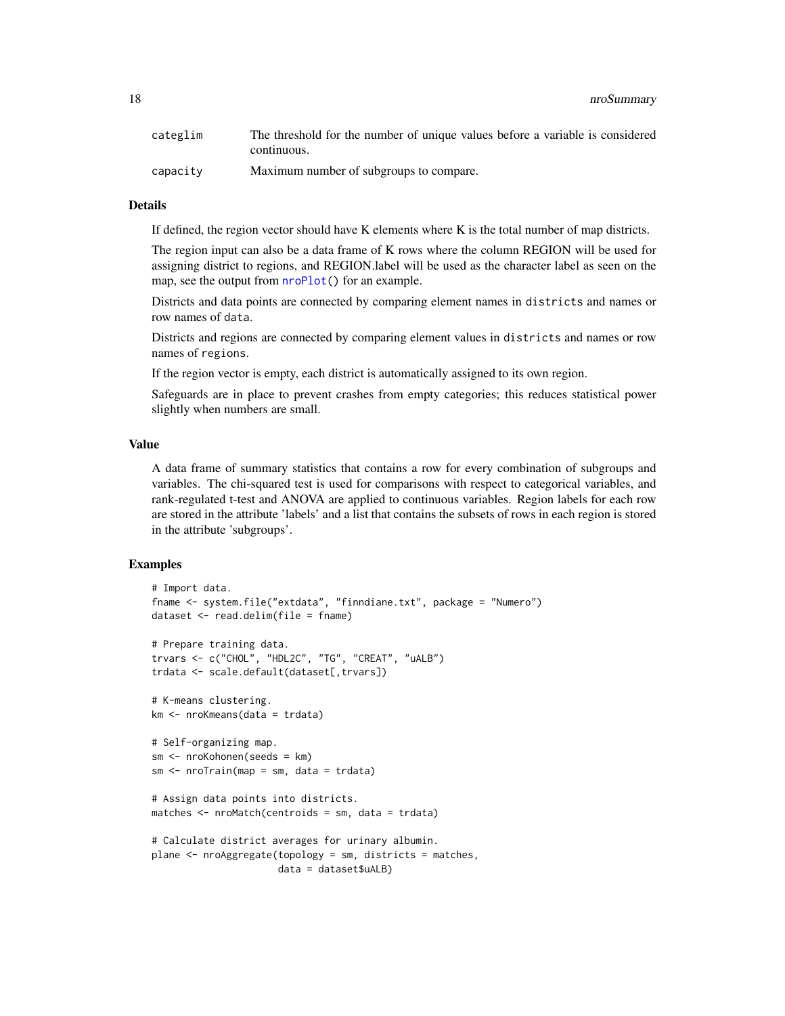<span id="page-17-0"></span>18 nroSummary nroSummary

| categlim | The threshold for the number of unique values before a variable is considered |
|----------|-------------------------------------------------------------------------------|
|          | continuous.                                                                   |
| capacity | Maximum number of subgroups to compare.                                       |

# Details

If defined, the region vector should have K elements where K is the total number of map districts.

The region input can also be a data frame of K rows where the column REGION will be used for assigning district to regions, and REGION.label will be used as the character label as seen on the map, see the output from  $n \cdot Plot()$  for an example.

Districts and data points are connected by comparing element names in districts and names or row names of data.

Districts and regions are connected by comparing element values in districts and names or row names of regions.

If the region vector is empty, each district is automatically assigned to its own region.

Safeguards are in place to prevent crashes from empty categories; this reduces statistical power slightly when numbers are small.

# Value

A data frame of summary statistics that contains a row for every combination of subgroups and variables. The chi-squared test is used for comparisons with respect to categorical variables, and rank-regulated t-test and ANOVA are applied to continuous variables. Region labels for each row are stored in the attribute 'labels' and a list that contains the subsets of rows in each region is stored in the attribute 'subgroups'.

```
# Import data.
fname <- system.file("extdata", "finndiane.txt", package = "Numero")
dataset <- read.delim(file = fname)
# Prepare training data.
trvars <- c("CHOL", "HDL2C", "TG", "CREAT", "uALB")
trdata <- scale.default(dataset[,trvars])
# K-means clustering.
km <- nroKmeans(data = trdata)
# Self-organizing map.
sm <- nroKohonen(seeds = km)
sm \leftarrow nroTrain(map = sm, data = trdata)# Assign data points into districts.
matches <- nroMatch(centroids = sm, data = trdata)
# Calculate district averages for urinary albumin.
plane <- nroAggregate(topology = sm, districts = matches,
                      data = dataset$uALB)
```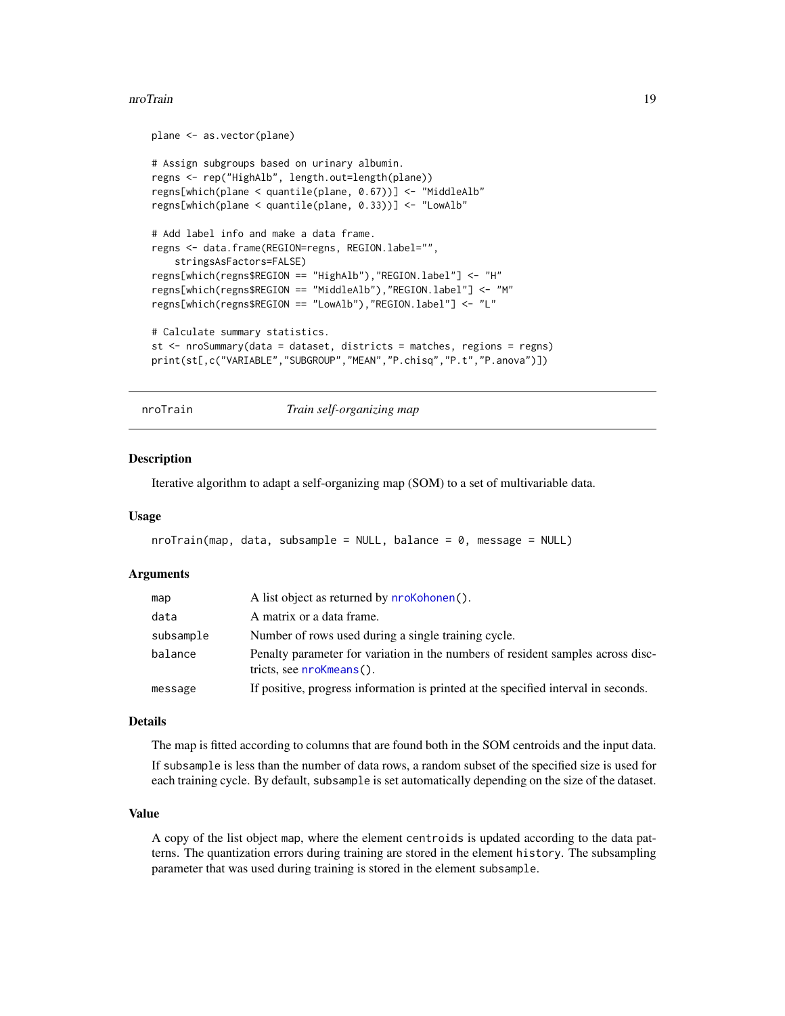#### <span id="page-18-0"></span>nroTrain 19

```
plane <- as.vector(plane)
# Assign subgroups based on urinary albumin.
regns <- rep("HighAlb", length.out=length(plane))
regns[which(plane < quantile(plane, 0.67))] <- "MiddleAlb"
regns[which(plane < quantile(plane, 0.33))] <- "LowAlb"
# Add label info and make a data frame.
regns <- data.frame(REGION=regns, REGION.label="",
    stringsAsFactors=FALSE)
regns[which(regns$REGION == "HighAlb"),"REGION.label"] <- "H"
regns[which(regns$REGION == "MiddleAlb"),"REGION.label"] <- "M"
regns[which(regns$REGION == "LowAlb"),"REGION.label"] <- "L"
# Calculate summary statistics.
st <- nroSummary(data = dataset, districts = matches, regions = regns)
print(st[,c("VARIABLE","SUBGROUP","MEAN","P.chisq","P.t","P.anova")])
```
<span id="page-18-1"></span>nroTrain *Train self-organizing map*

#### Description

Iterative algorithm to adapt a self-organizing map (SOM) to a set of multivariable data.

#### Usage

```
n \sigmaTrain(map, data, subsample = NULL, balance = 0, message = NULL)
```
#### Arguments

| map       | A list object as returned by <b>nroKohonen</b> ().                                                          |
|-----------|-------------------------------------------------------------------------------------------------------------|
| data      | A matrix or a data frame.                                                                                   |
| subsample | Number of rows used during a single training cycle.                                                         |
| balance   | Penalty parameter for variation in the numbers of resident samples across disc-<br>tricts, see nroKmeans(). |
| message   | If positive, progress information is printed at the specified interval in seconds.                          |

#### Details

The map is fitted according to columns that are found both in the SOM centroids and the input data. If subsample is less than the number of data rows, a random subset of the specified size is used for each training cycle. By default, subsample is set automatically depending on the size of the dataset.

# Value

A copy of the list object map, where the element centroids is updated according to the data patterns. The quantization errors during training are stored in the element history. The subsampling parameter that was used during training is stored in the element subsample.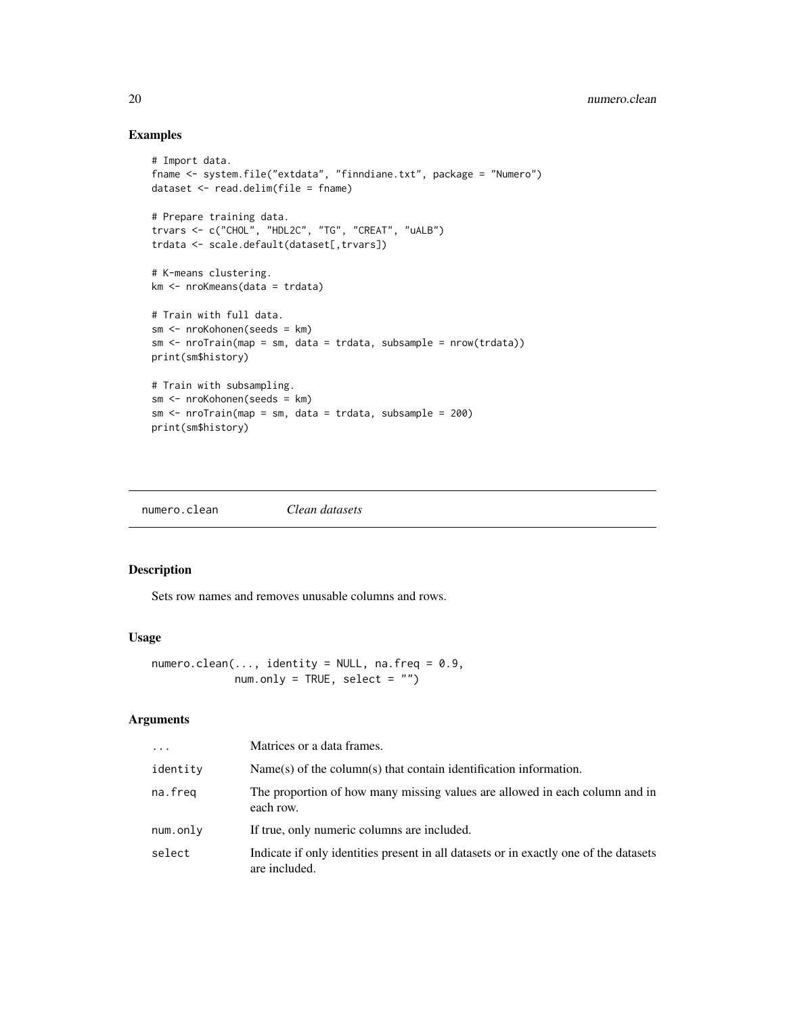# Examples

```
# Import data.
fname <- system.file("extdata", "finndiane.txt", package = "Numero")
dataset <- read.delim(file = fname)
# Prepare training data.
trvars <- c("CHOL", "HDL2C", "TG", "CREAT", "uALB")
trdata <- scale.default(dataset[,trvars])
# K-means clustering.
km <- nroKmeans(data = trdata)
# Train with full data.
sm <- nroKohonen(seeds = km)
sm <- nroTrain(map = sm, data = trdata, subsample = nrow(trdata))
print(sm$history)
# Train with subsampling.
sm <- nroKohonen(seeds = km)
sm \leftarrow nroTrain(map = sm, data = trdata, subsample = 200)print(sm$history)
```
<span id="page-19-1"></span>numero.clean *Clean datasets*

# Description

Sets row names and removes unusable columns and rows.

# Usage

```
numero.clean(..., identity = NULL, na.freq = 0.9,
            num.outy = TRUE, select = "")
```
# Arguments

| $\ddots$ . | Matrices or a data frames.                                                                             |
|------------|--------------------------------------------------------------------------------------------------------|
| identity   | $Name(s)$ of the column(s) that contain identification information.                                    |
| na.freg    | The proportion of how many missing values are allowed in each column and in<br>each row.               |
| num.only   | If true, only numeric columns are included.                                                            |
| select     | Indicate if only identities present in all datasets or in exactly one of the datasets<br>are included. |

<span id="page-19-0"></span>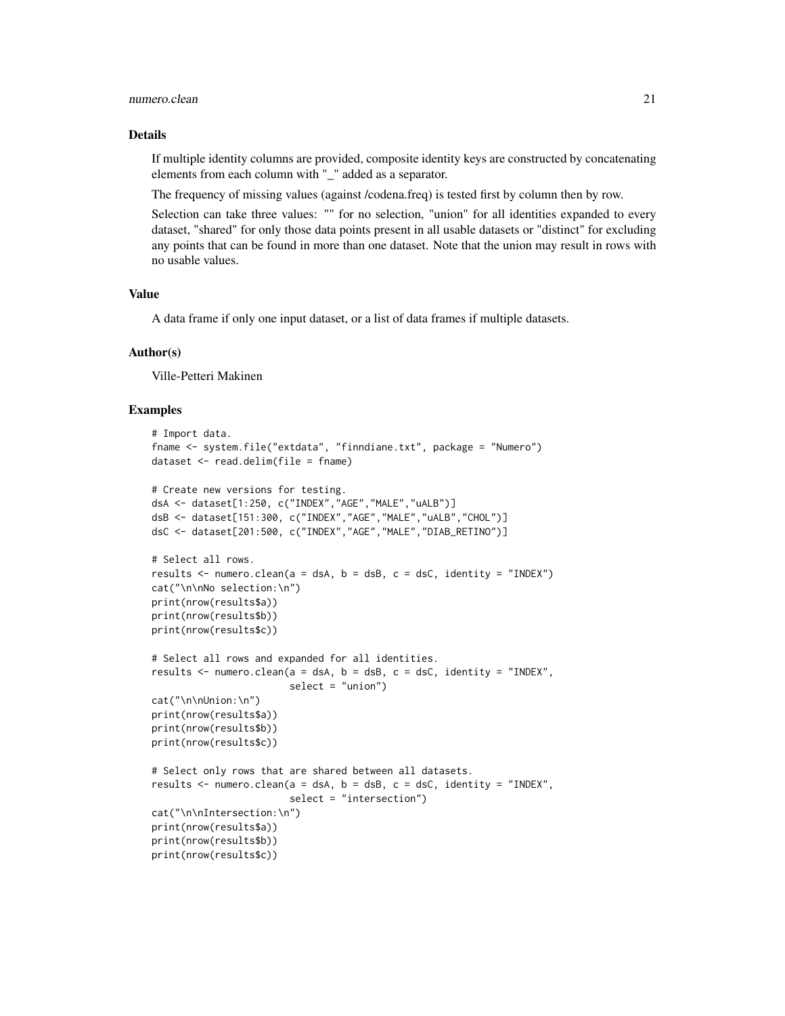#### numero.clean 21

#### Details

If multiple identity columns are provided, composite identity keys are constructed by concatenating elements from each column with "\_" added as a separator.

The frequency of missing values (against /codena.freq) is tested first by column then by row.

Selection can take three values: "" for no selection, "union" for all identities expanded to every dataset, "shared" for only those data points present in all usable datasets or "distinct" for excluding any points that can be found in more than one dataset. Note that the union may result in rows with no usable values.

#### Value

A data frame if only one input dataset, or a list of data frames if multiple datasets.

#### Author(s)

Ville-Petteri Makinen

```
# Import data.
fname <- system.file("extdata", "finndiane.txt", package = "Numero")
dataset \leq read.delim(file = fname)
# Create new versions for testing.
dsA <- dataset[1:250, c("INDEX","AGE","MALE","uALB")]
dsB <- dataset[151:300, c("INDEX","AGE","MALE","uALB","CHOL")]
dsC <- dataset[201:500, c("INDEX","AGE","MALE","DIAB_RETINO")]
# Select all rows.
results <- numero.clean(a = dsA, b = dsB, c = dsC, identity = "INDEX")
cat("\n\nNo selection:\n")
print(nrow(results$a))
print(nrow(results$b))
print(nrow(results$c))
# Select all rows and expanded for all identities.
results <- numero.clean(a = dsA, b = dsB, c = dsC, identity = "INDEX",
                        select = "union")
cat("\n\nUnion:\n")
print(nrow(results$a))
print(nrow(results$b))
print(nrow(results$c))
# Select only rows that are shared between all datasets.
results \leq numero.clean(a = dsA, b = dsB, c = dsC, identity = "INDEX",
                        select = "intersection")
cat("\n\nIntersection:\n")
print(nrow(results$a))
print(nrow(results$b))
print(nrow(results$c))
```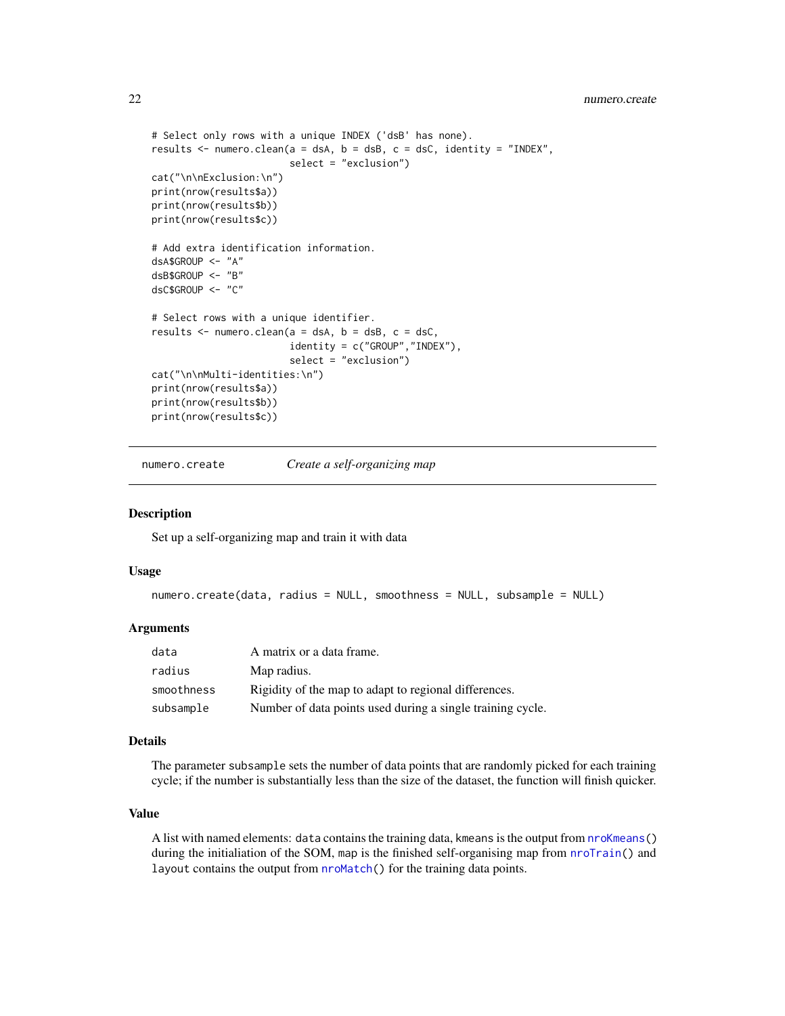```
# Select only rows with a unique INDEX ('dsB' has none).
results <- numero.clean(a = dsA, b = dsB, c = dsC, identity = "INDEX",
                        select = "exclusion")
cat("\n\nExclusion:\n")
print(nrow(results$a))
print(nrow(results$b))
print(nrow(results$c))
# Add extra identification information.
dsA$GROUP <- "A"
dsB$GROUP <- "B"
dsC$GROUP <- "C"
# Select rows with a unique identifier.
results \leq numero.clean(a = dsA, b = dsB, c = dsC,
                        identity = c("GROUP","INDEX"),
                        select = "exclusion")
cat("\n\nMulti-identities:\n")
print(nrow(results$a))
print(nrow(results$b))
print(nrow(results$c))
```
<span id="page-21-1"></span>numero.create *Create a self-organizing map*

#### Description

Set up a self-organizing map and train it with data

#### Usage

```
numero.create(data, radius = NULL, smoothness = NULL, subsample = NULL)
```
#### Arguments

| data       | A matrix or a data frame.                                  |
|------------|------------------------------------------------------------|
| radius     | Map radius.                                                |
| smoothness | Rigidity of the map to adapt to regional differences.      |
| subsample  | Number of data points used during a single training cycle. |

### Details

The parameter subsample sets the number of data points that are randomly picked for each training cycle; if the number is substantially less than the size of the dataset, the function will finish quicker.

# Value

A list with named elements: data contains the training data, kmeans is the output from [nroKmeans\(](#page-5-1)) during the initialiation of the SOM, map is the finished self-organising map from [nroTrain\(](#page-18-1)) and layout contains the output from [nroMatch\(](#page-9-1)) for the training data points.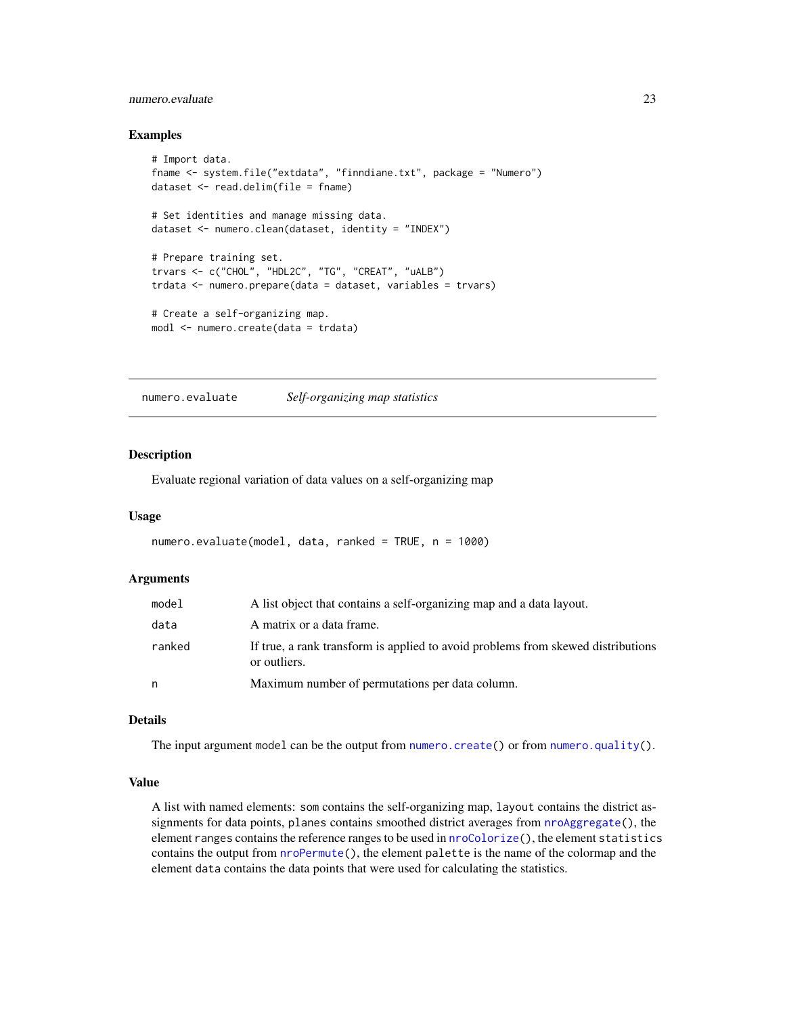# <span id="page-22-0"></span>numero.evaluate 23

#### Examples

```
# Import data.
fname <- system.file("extdata", "finndiane.txt", package = "Numero")
dataset <- read.delim(file = fname)
# Set identities and manage missing data.
dataset <- numero.clean(dataset, identity = "INDEX")
# Prepare training set.
trvars <- c("CHOL", "HDL2C", "TG", "CREAT", "uALB")
trdata <- numero.prepare(data = dataset, variables = trvars)
# Create a self-organizing map.
modl <- numero.create(data = trdata)
```
<span id="page-22-1"></span>numero.evaluate *Self-organizing map statistics*

#### Description

Evaluate regional variation of data values on a self-organizing map

#### Usage

```
numero.evaluate(model, data, ranked = TRUE, n = 1000)
```
#### Arguments

| model  | A list object that contains a self-organizing map and a data layout.                             |
|--------|--------------------------------------------------------------------------------------------------|
| data   | A matrix or a data frame.                                                                        |
| ranked | If true, a rank transform is applied to avoid problems from skewed distributions<br>or outliers. |
| n      | Maximum number of permutations per data column.                                                  |

#### Details

The input argument model can be the output from [numero.create\(](#page-21-1)) or from [numero.quality\(](#page-26-1)).

#### Value

A list with named elements: som contains the self-organizing map, layout contains the district assignments for data points, planes contains smoothed district averages from  $nroAggregate()$  $nroAggregate()$ , the element ranges contains the reference ranges to be used in [nroColorize\(](#page-2-1)), the element statistics contains the output from [nroPermute\(](#page-10-1)), the element palette is the name of the colormap and the element data contains the data points that were used for calculating the statistics.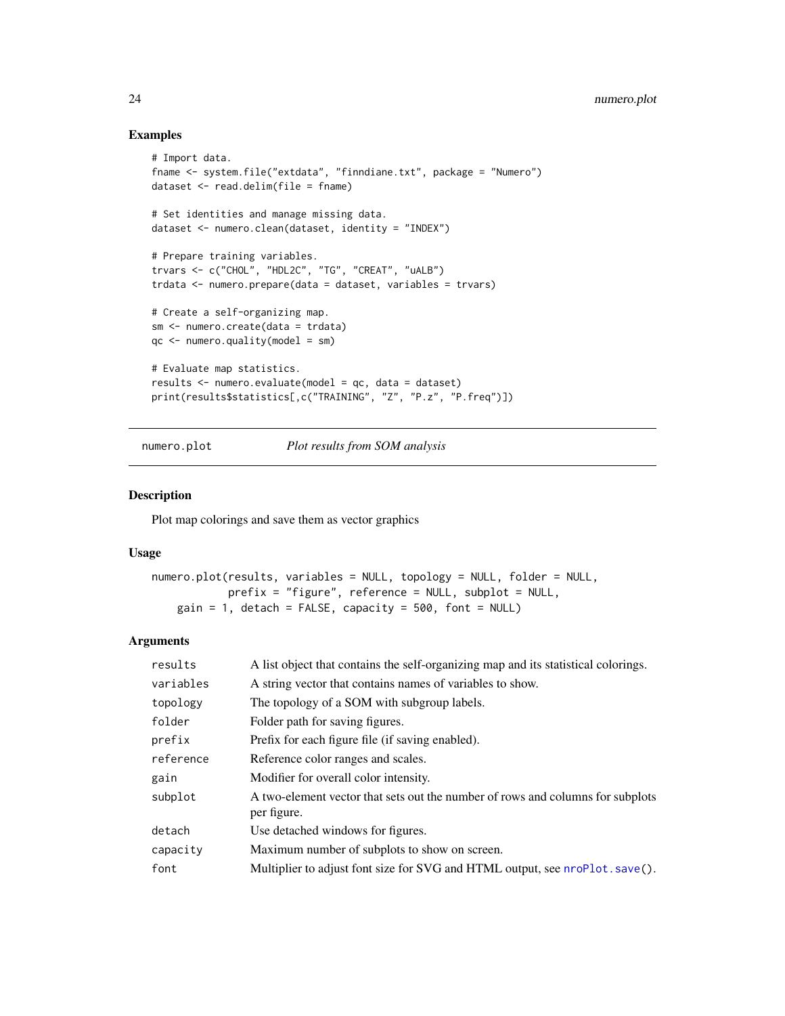#### Examples

```
# Import data.
fname <- system.file("extdata", "finndiane.txt", package = "Numero")
dataset <- read.delim(file = fname)
# Set identities and manage missing data.
dataset <- numero.clean(dataset, identity = "INDEX")
# Prepare training variables.
trvars <- c("CHOL", "HDL2C", "TG", "CREAT", "uALB")
trdata <- numero.prepare(data = dataset, variables = trvars)
# Create a self-organizing map.
sm <- numero.create(data = trdata)
qc <- numero.quality(model = sm)
# Evaluate map statistics.
results <- numero.evaluate(model = qc, data = dataset)
print(results$statistics[,c("TRAINING", "Z", "P.z", "P.freq")])
```
numero.plot *Plot results from SOM analysis*

# Description

Plot map colorings and save them as vector graphics

## Usage

```
numero.plot(results, variables = NULL, topology = NULL, folder = NULL,
            prefix = "figure", reference = NULL, subplot = NULL,
    gain = 1, detach = FALSE, capacity = 500, font = NULL)
```
#### Arguments

| results   | A list object that contains the self-organizing map and its statistical colorings.            |
|-----------|-----------------------------------------------------------------------------------------------|
| variables | A string vector that contains names of variables to show.                                     |
| topology  | The topology of a SOM with subgroup labels.                                                   |
| folder    | Folder path for saving figures.                                                               |
| prefix    | Prefix for each figure file (if saving enabled).                                              |
| reference | Reference color ranges and scales.                                                            |
| gain      | Modifier for overall color intensity.                                                         |
| subplot   | A two-element vector that sets out the number of rows and columns for subplots<br>per figure. |
| detach    | Use detached windows for figures.                                                             |
| capacity  | Maximum number of subplots to show on screen.                                                 |
| font      | Multiplier to adjust font size for SVG and HTML output, see nroPlot . save().                 |

<span id="page-23-0"></span>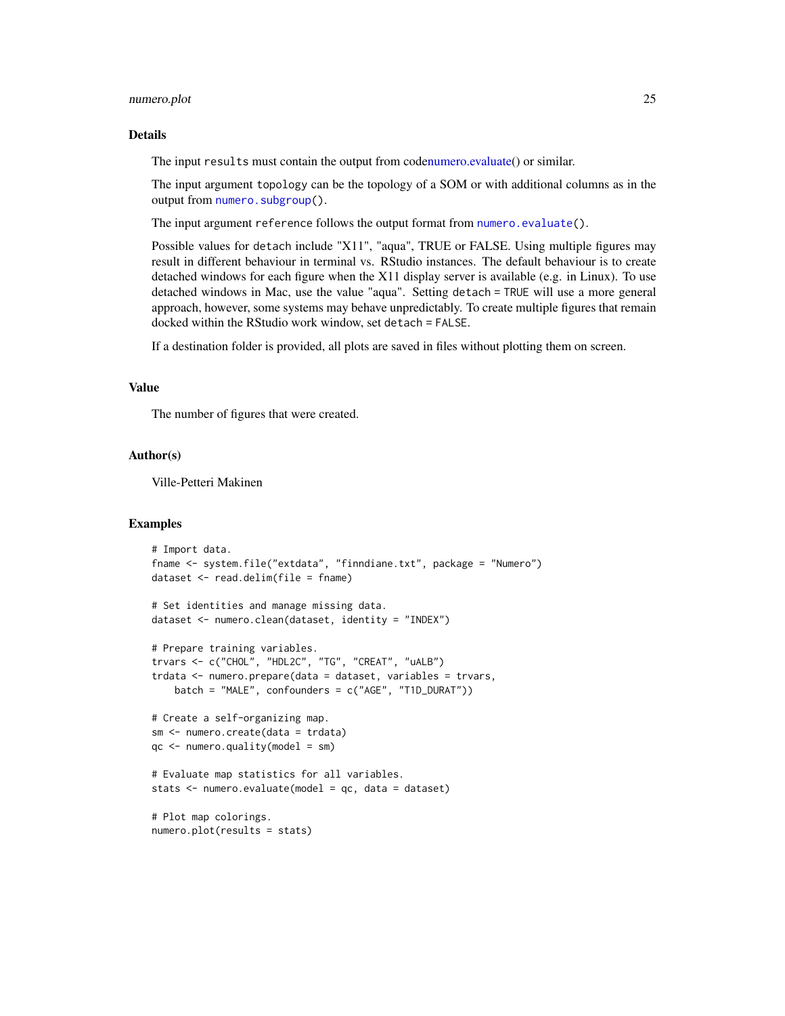#### <span id="page-24-0"></span>numero.plot 25

### Details

The input results must contain the output from cod[enumero.evaluate\(](#page-22-1)) or similar.

The input argument topology can be the topology of a SOM or with additional columns as in the output from [numero.subgroup\(](#page-27-1)).

The input argument reference follows the output format from [numero.evaluate\(](#page-22-1)).

Possible values for detach include "X11", "aqua", TRUE or FALSE. Using multiple figures may result in different behaviour in terminal vs. RStudio instances. The default behaviour is to create detached windows for each figure when the X11 display server is available (e.g. in Linux). To use detached windows in Mac, use the value "aqua". Setting detach = TRUE will use a more general approach, however, some systems may behave unpredictably. To create multiple figures that remain docked within the RStudio work window, set detach = FALSE.

If a destination folder is provided, all plots are saved in files without plotting them on screen.

# Value

The number of figures that were created.

#### Author(s)

Ville-Petteri Makinen

```
# Import data.
fname <- system.file("extdata", "finndiane.txt", package = "Numero")
dataset <- read.delim(file = fname)
# Set identities and manage missing data.
dataset <- numero.clean(dataset, identity = "INDEX")
# Prepare training variables.
trvars <- c("CHOL", "HDL2C", "TG", "CREAT", "uALB")
trdata <- numero.prepare(data = dataset, variables = trvars,
   batch = "MALE", confounders = c("AGE", "T1D_DURAT"))
# Create a self-organizing map.
sm <- numero.create(data = trdata)
qc <- numero.quality(model = sm)
# Evaluate map statistics for all variables.
stats <- numero.evaluate(model = qc, data = dataset)
# Plot map colorings.
numero.plot(results = stats)
```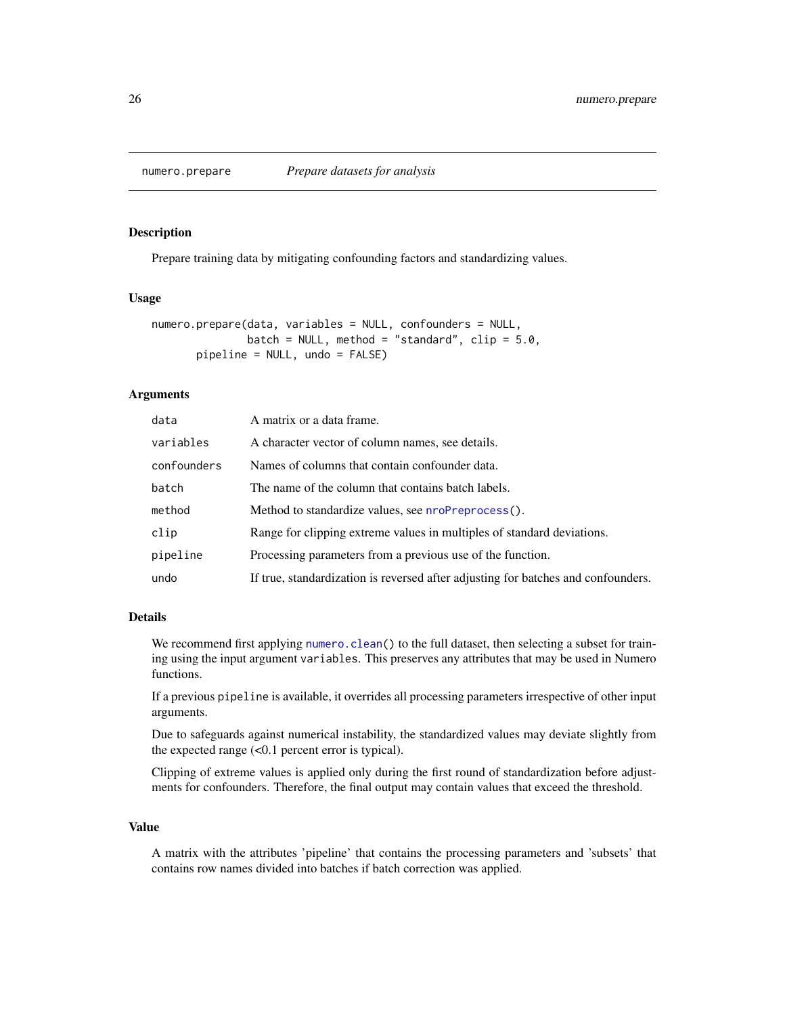<span id="page-25-0"></span>

# Description

Prepare training data by mitigating confounding factors and standardizing values.

#### Usage

```
numero.prepare(data, variables = NULL, confounders = NULL,
               batch = NULL, method = "standard", clip = 5.0,
       pipeline = NULL, undo = FALSE)
```
# Arguments

| data        | A matrix or a data frame.                                                         |
|-------------|-----------------------------------------------------------------------------------|
| variables   | A character vector of column names, see details.                                  |
| confounders | Names of columns that contain confounder data.                                    |
| batch       | The name of the column that contains batch labels.                                |
| method      | Method to standardize values, see <b>nroPreprocess()</b> .                        |
| clip        | Range for clipping extreme values in multiples of standard deviations.            |
| pipeline    | Processing parameters from a previous use of the function.                        |
| undo        | If true, standardization is reversed after adjusting for batches and confounders. |

# Details

We recommend first applying [numero.clean\(](#page-19-1)) to the full dataset, then selecting a subset for training using the input argument variables. This preserves any attributes that may be used in Numero functions.

If a previous pipeline is available, it overrides all processing parameters irrespective of other input arguments.

Due to safeguards against numerical instability, the standardized values may deviate slightly from the expected range (<0.1 percent error is typical).

Clipping of extreme values is applied only during the first round of standardization before adjustments for confounders. Therefore, the final output may contain values that exceed the threshold.

# Value

A matrix with the attributes 'pipeline' that contains the processing parameters and 'subsets' that contains row names divided into batches if batch correction was applied.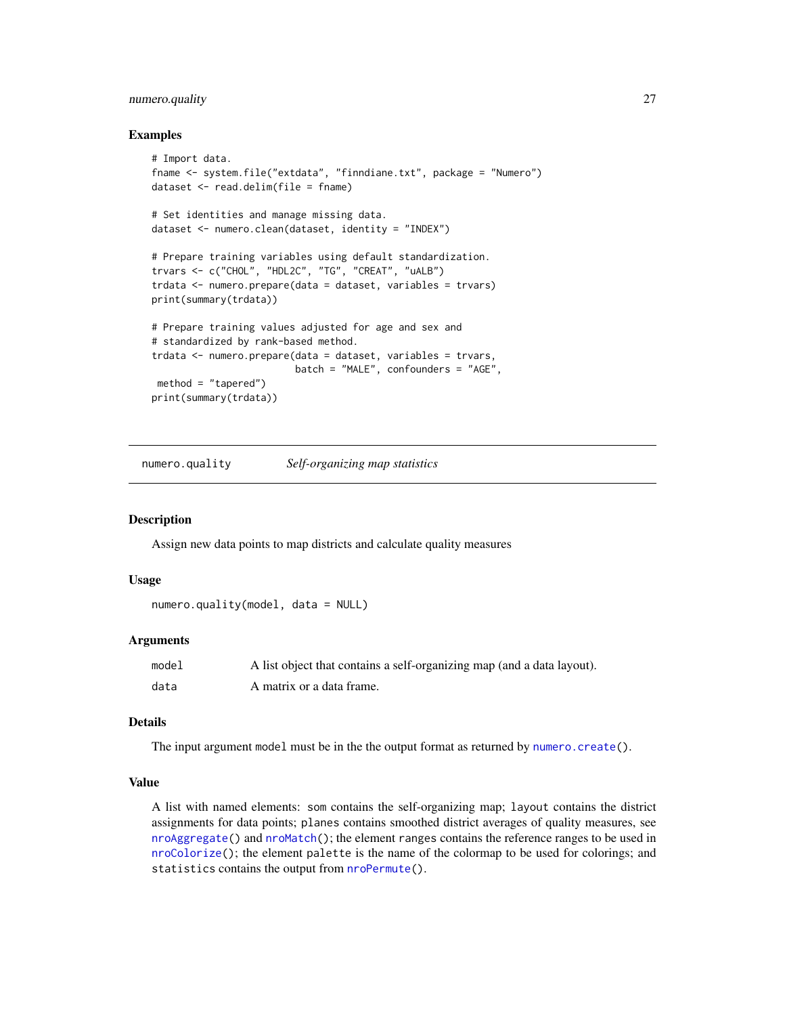# <span id="page-26-0"></span>numero.quality 27

#### Examples

```
# Import data.
fname <- system.file("extdata", "finndiane.txt", package = "Numero")
dataset <- read.delim(file = fname)
# Set identities and manage missing data.
dataset <- numero.clean(dataset, identity = "INDEX")
# Prepare training variables using default standardization.
trvars <- c("CHOL", "HDL2C", "TG", "CREAT", "uALB")
trdata <- numero.prepare(data = dataset, variables = trvars)
print(summary(trdata))
# Prepare training values adjusted for age and sex and
# standardized by rank-based method.
trdata <- numero.prepare(data = dataset, variables = trvars,
                         batch = "MALE", confounders = "AGE",
method = "tapered")
print(summary(trdata))
```
<span id="page-26-1"></span>numero.quality *Self-organizing map statistics*

#### Description

Assign new data points to map districts and calculate quality measures

#### Usage

```
numero.quality(model, data = NULL)
```
#### Arguments

| model | A list object that contains a self-organizing map (and a data layout). |
|-------|------------------------------------------------------------------------|
| data  | A matrix or a data frame.                                              |

#### Details

The input argument model must be in the the output format as returned by [numero.create\(](#page-21-1)).

# Value

A list with named elements: som contains the self-organizing map; layout contains the district assignments for data points; planes contains smoothed district averages of quality measures, see [nroAggregate\(](#page-1-1)) and [nroMatch\(](#page-9-1)); the element ranges contains the reference ranges to be used in [nroColorize\(](#page-2-1)); the element palette is the name of the colormap to be used for colorings; and statistics contains the output from [nroPermute\(](#page-10-1)).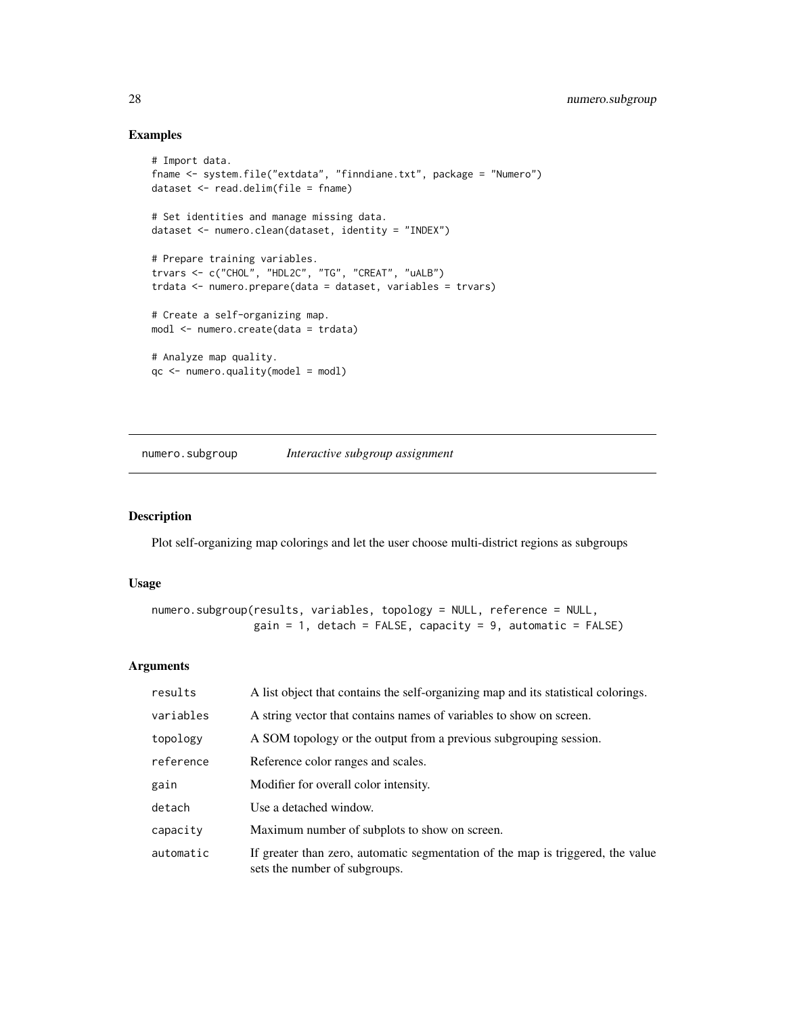# Examples

```
# Import data.
fname <- system.file("extdata", "finndiane.txt", package = "Numero")
dataset <- read.delim(file = fname)
# Set identities and manage missing data.
dataset <- numero.clean(dataset, identity = "INDEX")
# Prepare training variables.
trvars <- c("CHOL", "HDL2C", "TG", "CREAT", "uALB")
trdata <- numero.prepare(data = dataset, variables = trvars)
# Create a self-organizing map.
modl <- numero.create(data = trdata)
# Analyze map quality.
qc <- numero.quality(model = modl)
```
<span id="page-27-1"></span>numero.subgroup *Interactive subgroup assignment*

# Description

Plot self-organizing map colorings and let the user choose multi-district regions as subgroups

#### Usage

```
numero.subgroup(results, variables, topology = NULL, reference = NULL,
               gain = 1, detach = FALSE, capacity = 9, automatic = FALSE)
```
#### Arguments

| results   | A list object that contains the self-organizing map and its statistical colorings.                               |
|-----------|------------------------------------------------------------------------------------------------------------------|
| variables | A string vector that contains names of variables to show on screen.                                              |
| topology  | A SOM topology or the output from a previous subgrouping session.                                                |
| reference | Reference color ranges and scales.                                                                               |
| gain      | Modifier for overall color intensity.                                                                            |
| detach    | Use a detached window.                                                                                           |
| capacity  | Maximum number of subplots to show on screen.                                                                    |
| automatic | If greater than zero, automatic segmentation of the map is triggered, the value<br>sets the number of subgroups. |

<span id="page-27-0"></span>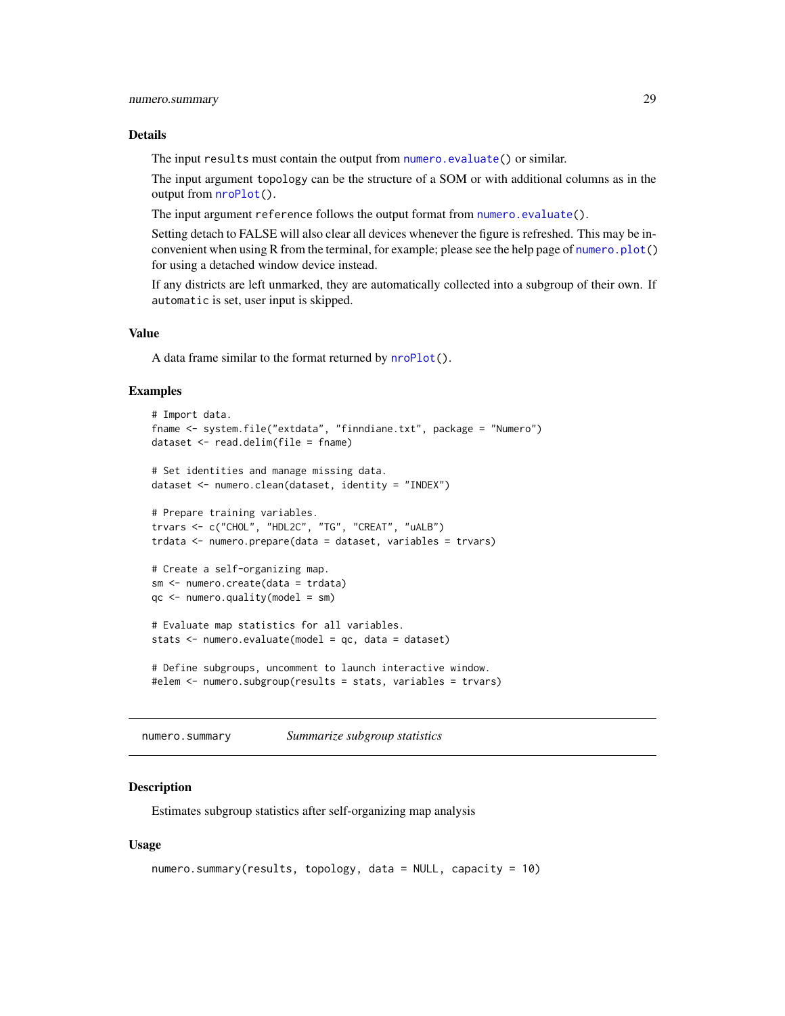#### <span id="page-28-0"></span>Details

The input results must contain the output from [numero.evaluate\(](#page-22-1)) or similar.

The input argument topology can be the structure of a SOM or with additional columns as in the output from [nroPlot\(](#page-11-1)).

The input argument reference follows the output format from [numero.evaluate\(](#page-22-1)).

Setting detach to FALSE will also clear all devices whenever the figure is refreshed. This may be inconvenient when using R from the terminal, for example; please see the help page of [numero.plot\(](#page-23-1)) for using a detached window device instead.

If any districts are left unmarked, they are automatically collected into a subgroup of their own. If automatic is set, user input is skipped.

# Value

A data frame similar to the format returned by [nroPlot\(](#page-11-1)).

#### Examples

```
# Import data.
fname <- system.file("extdata", "finndiane.txt", package = "Numero")
dataset <- read.delim(file = fname)
# Set identities and manage missing data.
dataset <- numero.clean(dataset, identity = "INDEX")
# Prepare training variables.
trvars <- c("CHOL", "HDL2C", "TG", "CREAT", "uALB")
trdata <- numero.prepare(data = dataset, variables = trvars)
# Create a self-organizing map.
sm <- numero.create(data = trdata)
qc < - numero.quality(model = sm)
# Evaluate map statistics for all variables.
stats <- numero.evaluate(model = qc, data = dataset)
# Define subgroups, uncomment to launch interactive window.
#elem <- numero.subgroup(results = stats, variables = trvars)
```
numero.summary *Summarize subgroup statistics*

#### Description

Estimates subgroup statistics after self-organizing map analysis

#### Usage

```
numero.summary(results, topology, data = NULL, capacity = 10)
```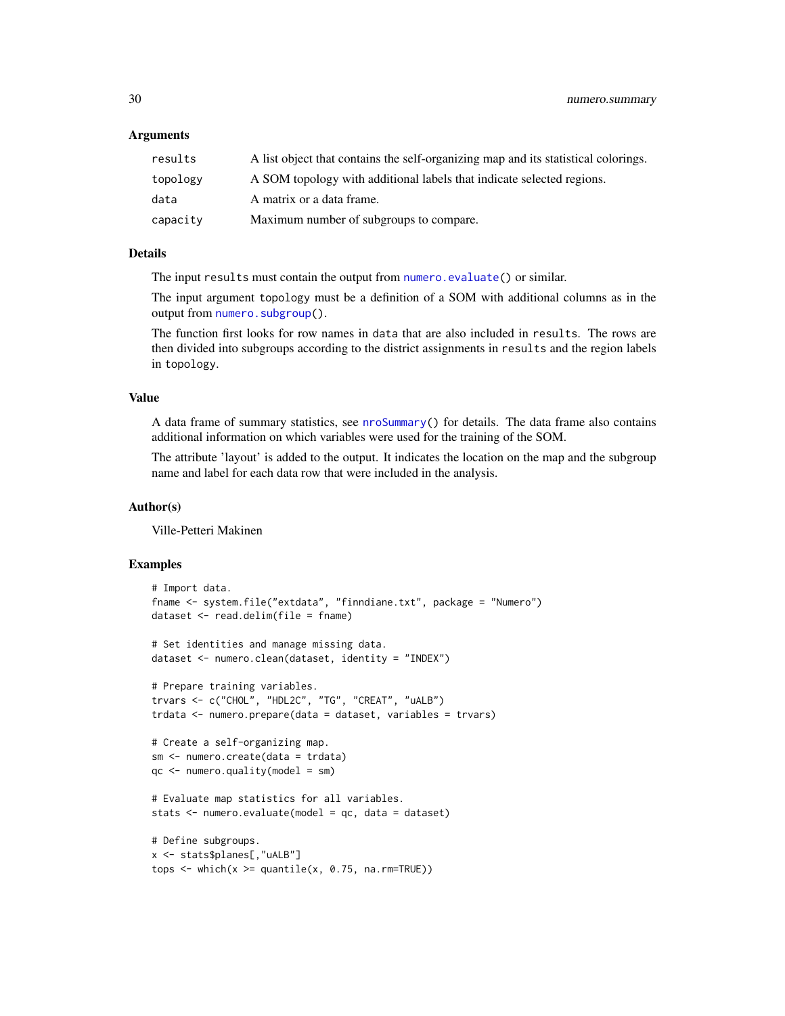#### <span id="page-29-0"></span>Arguments

| results  | A list object that contains the self-organizing map and its statistical colorings. |
|----------|------------------------------------------------------------------------------------|
| topology | A SOM topology with additional labels that indicate selected regions.              |
| data     | A matrix or a data frame.                                                          |
| capacity | Maximum number of subgroups to compare.                                            |

# Details

The input results must contain the output from [numero.evaluate\(](#page-22-1)) or similar.

The input argument topology must be a definition of a SOM with additional columns as in the output from [numero.subgroup\(](#page-27-1)).

The function first looks for row names in data that are also included in results. The rows are then divided into subgroups according to the district assignments in results and the region labels in topology.

#### Value

A data frame of summary statistics, see [nroSummary\(](#page-16-1)) for details. The data frame also contains additional information on which variables were used for the training of the SOM.

The attribute 'layout' is added to the output. It indicates the location on the map and the subgroup name and label for each data row that were included in the analysis.

# Author(s)

Ville-Petteri Makinen

```
# Import data.
fname <- system.file("extdata", "finndiane.txt", package = "Numero")
dataset <- read.delim(file = fname)
# Set identities and manage missing data.
dataset <- numero.clean(dataset, identity = "INDEX")
# Prepare training variables.
trvars <- c("CHOL", "HDL2C", "TG", "CREAT", "uALB")
trdata <- numero.prepare(data = dataset, variables = trvars)
# Create a self-organizing map.
sm <- numero.create(data = trdata)
qc \leq numero.quality(model = sm)
# Evaluate map statistics for all variables.
stats <- numero.evaluate(model = qc, data = dataset)
# Define subgroups.
x <- stats$planes[,"uALB"]
tops \leq which(x \geq quantile(x, 0.75, na.rm=TRUE))
```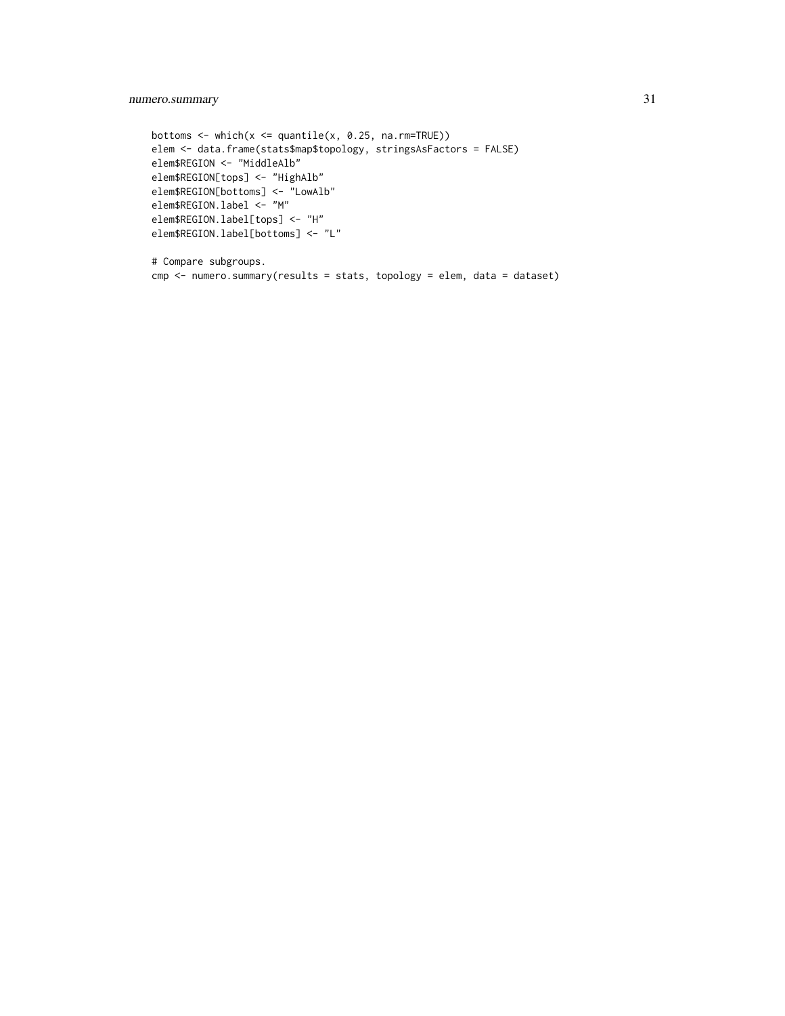# numero.summary 31

```
bottoms \leq which(x \leq quantile(x, 0.25, na.rm=TRUE))
elem <- data.frame(stats$map$topology, stringsAsFactors = FALSE)
elem$REGION <- "MiddleAlb"
elem$REGION[tops] <- "HighAlb"
elem$REGION[bottoms] <- "LowAlb"
elem$REGION.label <- "M"
elem$REGION.label[tops] <- "H"
elem$REGION.label[bottoms] <- "L"
```

```
# Compare subgroups.
cmp <- numero.summary(results = stats, topology = elem, data = dataset)
```